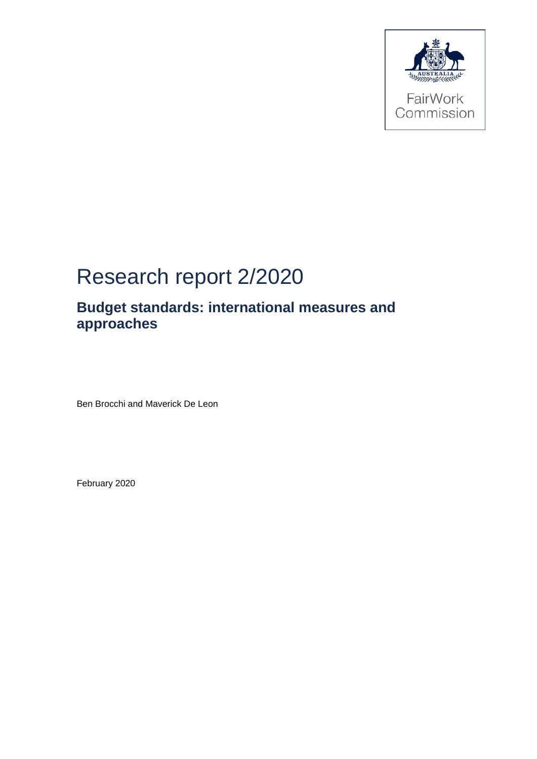

# Research report 2/2020

# **Budget standards: international measures and approaches**

Ben Brocchi and Maverick De Leon

February 2020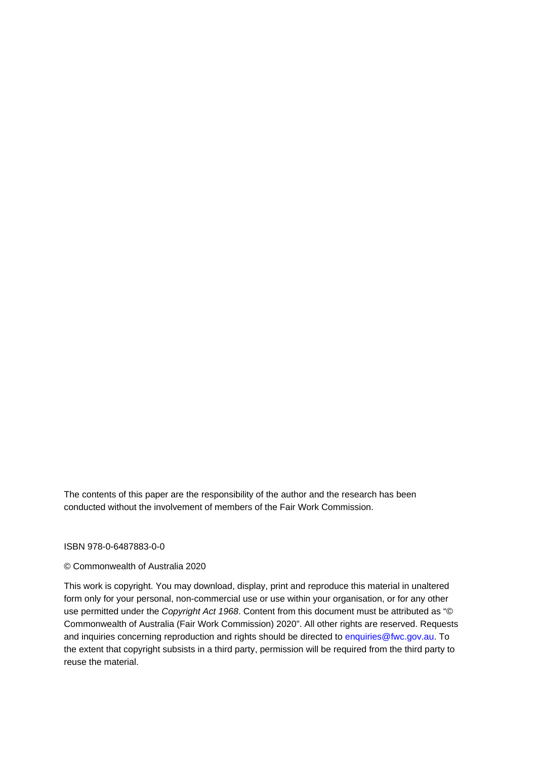The contents of this paper are the responsibility of the author and the research has been conducted without the involvement of members of the Fair Work Commission.

#### ISBN 978-0-6487883-0-0

#### © Commonwealth of Australia 2020

This work is copyright. You may download, display, print and reproduce this material in unaltered form only for your personal, non-commercial use or use within your organisation, or for any other use permitted under the *Copyright Act 1968*. Content from this document must be attributed as "© Commonwealth of Australia (Fair Work Commission) 2020". All other rights are reserved. Requests and inquiries concerning reproduction and rights should be directed to enquiries@fwc.gov.au. To the extent that copyright subsists in a third party, permission will be required from the third party to reuse the material.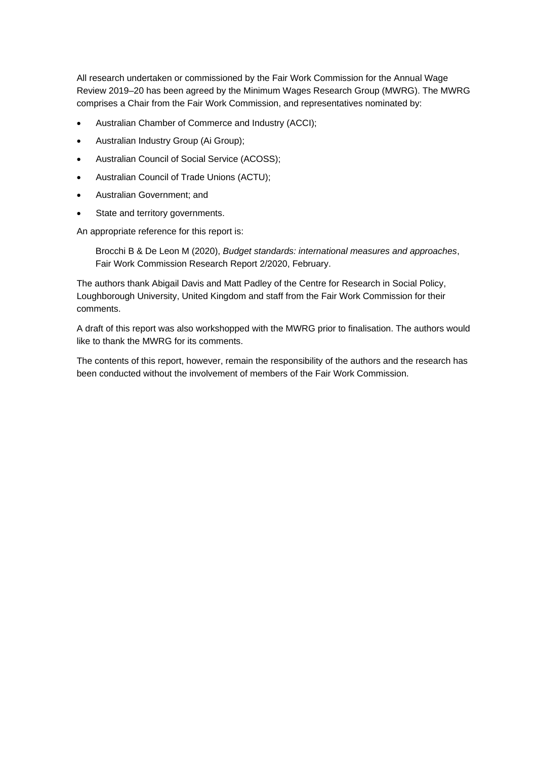All research undertaken or commissioned by the Fair Work Commission for the Annual Wage Review 2019–20 has been agreed by the Minimum Wages Research Group (MWRG). The MWRG comprises a Chair from the Fair Work Commission, and representatives nominated by:

- Australian Chamber of Commerce and Industry (ACCI);
- Australian Industry Group (Ai Group);
- Australian Council of Social Service (ACOSS);
- Australian Council of Trade Unions (ACTU);
- Australian Government; and
- State and territory governments.

An appropriate reference for this report is:

Brocchi B & De Leon M (2020), *Budget standards: international measures and approaches*, Fair Work Commission Research Report 2/2020, February.

The authors thank Abigail Davis and Matt Padley of the Centre for Research in Social Policy, Loughborough University, United Kingdom and staff from the Fair Work Commission for their comments.

A draft of this report was also workshopped with the MWRG prior to finalisation. The authors would like to thank the MWRG for its comments.

The contents of this report, however, remain the responsibility of the authors and the research has been conducted without the involvement of members of the Fair Work Commission.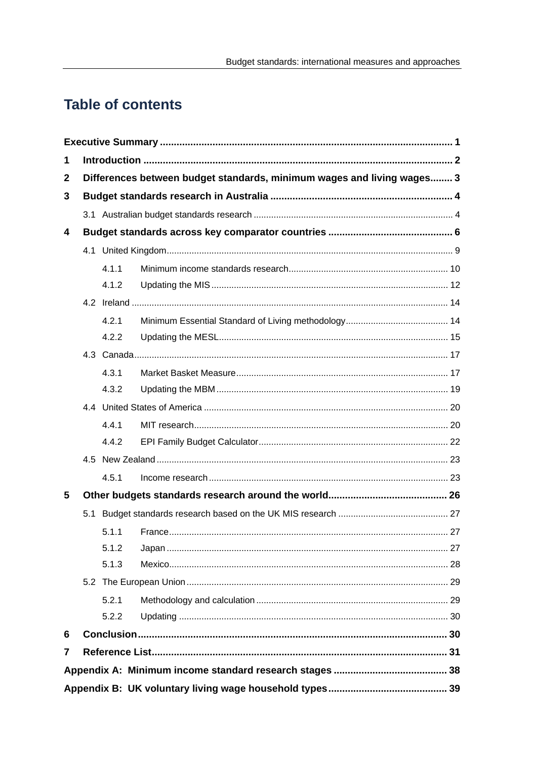# **Table of contents**

| 1            |  |       |                                                                        |  |  |  |  |  |
|--------------|--|-------|------------------------------------------------------------------------|--|--|--|--|--|
| $\mathbf{2}$ |  |       | Differences between budget standards, minimum wages and living wages 3 |  |  |  |  |  |
| 3            |  |       |                                                                        |  |  |  |  |  |
|              |  |       |                                                                        |  |  |  |  |  |
| 4            |  |       |                                                                        |  |  |  |  |  |
|              |  |       |                                                                        |  |  |  |  |  |
|              |  | 4.1.1 |                                                                        |  |  |  |  |  |
|              |  | 4.1.2 |                                                                        |  |  |  |  |  |
|              |  |       |                                                                        |  |  |  |  |  |
|              |  | 4.2.1 |                                                                        |  |  |  |  |  |
|              |  | 4.2.2 |                                                                        |  |  |  |  |  |
|              |  |       |                                                                        |  |  |  |  |  |
|              |  | 4.3.1 |                                                                        |  |  |  |  |  |
|              |  | 4.3.2 |                                                                        |  |  |  |  |  |
|              |  |       |                                                                        |  |  |  |  |  |
|              |  | 4.4.1 |                                                                        |  |  |  |  |  |
|              |  | 4.4.2 |                                                                        |  |  |  |  |  |
|              |  |       |                                                                        |  |  |  |  |  |
|              |  | 4.5.1 |                                                                        |  |  |  |  |  |
| 5            |  |       |                                                                        |  |  |  |  |  |
|              |  |       |                                                                        |  |  |  |  |  |
|              |  | 5.1.1 |                                                                        |  |  |  |  |  |
|              |  | 5.1.2 |                                                                        |  |  |  |  |  |
|              |  | 5.1.3 |                                                                        |  |  |  |  |  |
|              |  |       |                                                                        |  |  |  |  |  |
|              |  | 5.2.1 |                                                                        |  |  |  |  |  |
|              |  | 5.2.2 |                                                                        |  |  |  |  |  |
| 6            |  |       |                                                                        |  |  |  |  |  |
| 7            |  |       |                                                                        |  |  |  |  |  |
|              |  |       |                                                                        |  |  |  |  |  |
|              |  |       |                                                                        |  |  |  |  |  |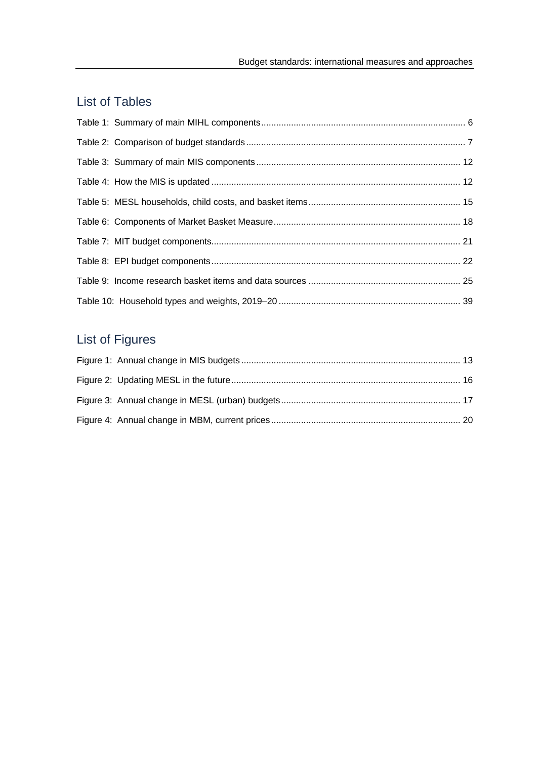# List of Tables

# List of Figures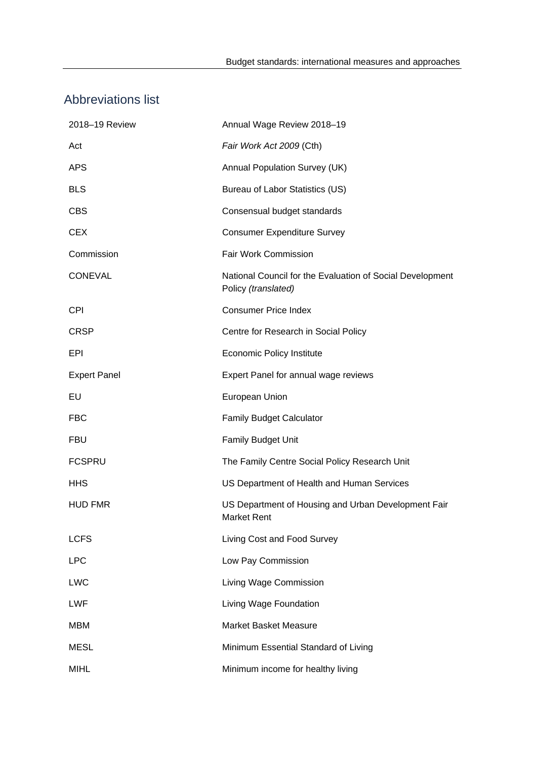# Abbreviations list

| 2018-19 Review      | Annual Wage Review 2018-19                                                       |
|---------------------|----------------------------------------------------------------------------------|
| Act                 | Fair Work Act 2009 (Cth)                                                         |
| <b>APS</b>          | Annual Population Survey (UK)                                                    |
| <b>BLS</b>          | Bureau of Labor Statistics (US)                                                  |
| <b>CBS</b>          | Consensual budget standards                                                      |
| <b>CEX</b>          | <b>Consumer Expenditure Survey</b>                                               |
| Commission          | Fair Work Commission                                                             |
| <b>CONEVAL</b>      | National Council for the Evaluation of Social Development<br>Policy (translated) |
| <b>CPI</b>          | <b>Consumer Price Index</b>                                                      |
| <b>CRSP</b>         | Centre for Research in Social Policy                                             |
| EPI                 | Economic Policy Institute                                                        |
| <b>Expert Panel</b> | Expert Panel for annual wage reviews                                             |
| EU                  | European Union                                                                   |
| <b>FBC</b>          | <b>Family Budget Calculator</b>                                                  |
| <b>FBU</b>          | <b>Family Budget Unit</b>                                                        |
| <b>FCSPRU</b>       | The Family Centre Social Policy Research Unit                                    |
| <b>HHS</b>          | US Department of Health and Human Services                                       |
| <b>HUD FMR</b>      | US Department of Housing and Urban Development Fair<br><b>Market Rent</b>        |
| <b>LCFS</b>         | Living Cost and Food Survey                                                      |
| <b>LPC</b>          | Low Pay Commission                                                               |
| <b>LWC</b>          | Living Wage Commission                                                           |
| <b>LWF</b>          | Living Wage Foundation                                                           |
| <b>MBM</b>          | <b>Market Basket Measure</b>                                                     |
| <b>MESL</b>         | Minimum Essential Standard of Living                                             |
| <b>MIHL</b>         | Minimum income for healthy living                                                |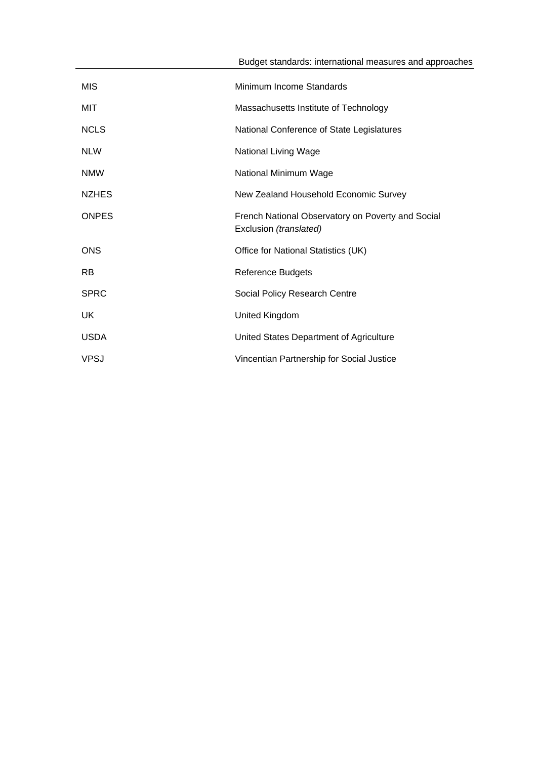| <b>MIS</b>   | Minimum Income Standards                                                    |
|--------------|-----------------------------------------------------------------------------|
| MIT          | Massachusetts Institute of Technology                                       |
| <b>NCLS</b>  | National Conference of State Legislatures                                   |
| <b>NLW</b>   | <b>National Living Wage</b>                                                 |
| <b>NMW</b>   | National Minimum Wage                                                       |
| <b>NZHES</b> | New Zealand Household Economic Survey                                       |
| <b>ONPES</b> | French National Observatory on Poverty and Social<br>Exclusion (translated) |
| <b>ONS</b>   | Office for National Statistics (UK)                                         |
| <b>RB</b>    | <b>Reference Budgets</b>                                                    |
| <b>SPRC</b>  | Social Policy Research Centre                                               |
| UK           | United Kingdom                                                              |
| <b>USDA</b>  | United States Department of Agriculture                                     |
| <b>VPSJ</b>  | Vincentian Partnership for Social Justice                                   |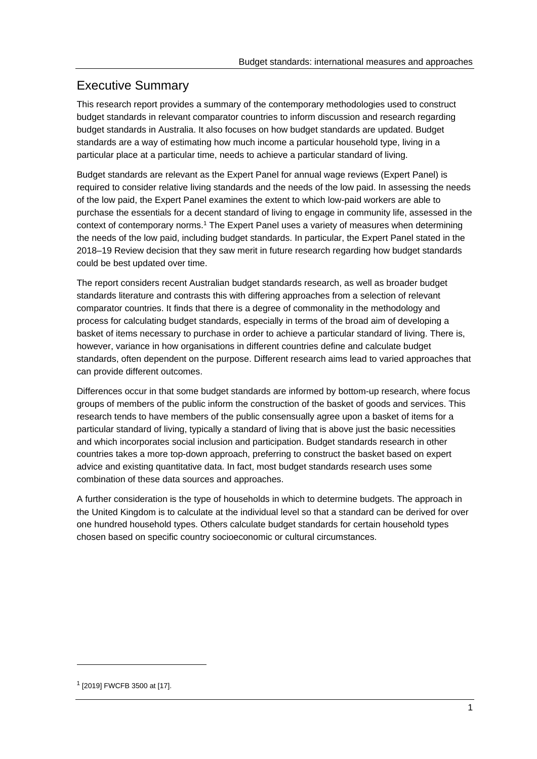# Executive Summary

This research report provides a summary of the contemporary methodologies used to construct budget standards in relevant comparator countries to inform discussion and research regarding budget standards in Australia. It also focuses on how budget standards are updated. Budget standards are a way of estimating how much income a particular household type, living in a particular place at a particular time, needs to achieve a particular standard of living.

Budget standards are relevant as the Expert Panel for annual wage reviews (Expert Panel) is required to consider relative living standards and the needs of the low paid. In assessing the needs of the low paid, the Expert Panel examines the extent to which low-paid workers are able to purchase the essentials for a decent standard of living to engage in community life, assessed in the context of contemporary norms.1 The Expert Panel uses a variety of measures when determining the needs of the low paid, including budget standards. In particular, the Expert Panel stated in the 2018–19 Review decision that they saw merit in future research regarding how budget standards could be best updated over time.

The report considers recent Australian budget standards research, as well as broader budget standards literature and contrasts this with differing approaches from a selection of relevant comparator countries. It finds that there is a degree of commonality in the methodology and process for calculating budget standards, especially in terms of the broad aim of developing a basket of items necessary to purchase in order to achieve a particular standard of living. There is, however, variance in how organisations in different countries define and calculate budget standards, often dependent on the purpose. Different research aims lead to varied approaches that can provide different outcomes.

Differences occur in that some budget standards are informed by bottom-up research, where focus groups of members of the public inform the construction of the basket of goods and services. This research tends to have members of the public consensually agree upon a basket of items for a particular standard of living, typically a standard of living that is above just the basic necessities and which incorporates social inclusion and participation. Budget standards research in other countries takes a more top-down approach, preferring to construct the basket based on expert advice and existing quantitative data. In fact, most budget standards research uses some combination of these data sources and approaches.

A further consideration is the type of households in which to determine budgets. The approach in the United Kingdom is to calculate at the individual level so that a standard can be derived for over one hundred household types. Others calculate budget standards for certain household types chosen based on specific country socioeconomic or cultural circumstances.

<sup>1 [2019]</sup> FWCFB 3500 at [17].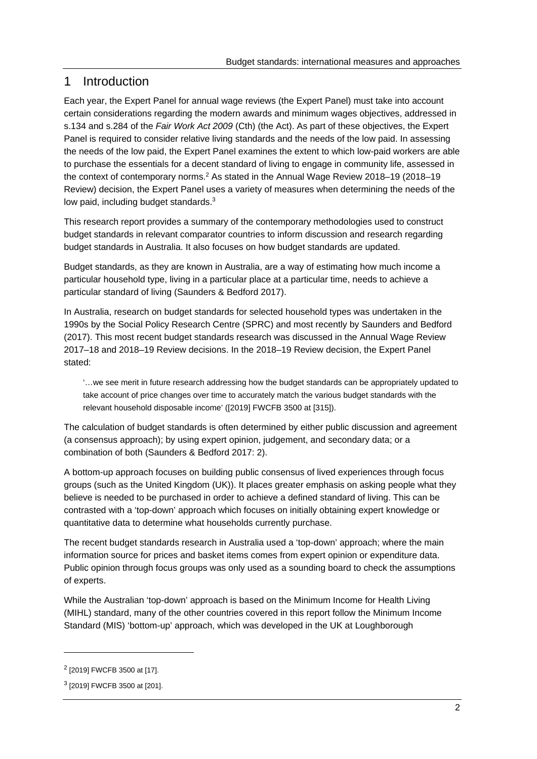# 1 Introduction

Each year, the Expert Panel for annual wage reviews (the Expert Panel) must take into account certain considerations regarding the modern awards and minimum wages objectives, addressed in s.134 and s.284 of the *Fair Work Act 2009* (Cth) (the Act). As part of these objectives, the Expert Panel is required to consider relative living standards and the needs of the low paid. In assessing the needs of the low paid, the Expert Panel examines the extent to which low-paid workers are able to purchase the essentials for a decent standard of living to engage in community life, assessed in the context of contemporary norms.2 As stated in the Annual Wage Review 2018–19 (2018–19 Review) decision, the Expert Panel uses a variety of measures when determining the needs of the low paid, including budget standards.<sup>3</sup>

This research report provides a summary of the contemporary methodologies used to construct budget standards in relevant comparator countries to inform discussion and research regarding budget standards in Australia. It also focuses on how budget standards are updated.

Budget standards, as they are known in Australia, are a way of estimating how much income a particular household type, living in a particular place at a particular time, needs to achieve a particular standard of living (Saunders & Bedford 2017).

In Australia, research on budget standards for selected household types was undertaken in the 1990s by the Social Policy Research Centre (SPRC) and most recently by Saunders and Bedford (2017). This most recent budget standards research was discussed in the Annual Wage Review 2017–18 and 2018–19 Review decisions. In the 2018–19 Review decision, the Expert Panel stated:

'…we see merit in future research addressing how the budget standards can be appropriately updated to take account of price changes over time to accurately match the various budget standards with the relevant household disposable income' ([2019] FWCFB 3500 at [315]).

The calculation of budget standards is often determined by either public discussion and agreement (a consensus approach); by using expert opinion, judgement, and secondary data; or a combination of both (Saunders & Bedford 2017: 2).

A bottom-up approach focuses on building public consensus of lived experiences through focus groups (such as the United Kingdom (UK)). It places greater emphasis on asking people what they believe is needed to be purchased in order to achieve a defined standard of living. This can be contrasted with a 'top-down' approach which focuses on initially obtaining expert knowledge or quantitative data to determine what households currently purchase.

The recent budget standards research in Australia used a 'top-down' approach; where the main information source for prices and basket items comes from expert opinion or expenditure data. Public opinion through focus groups was only used as a sounding board to check the assumptions of experts.

While the Australian 'top-down' approach is based on the Minimum Income for Health Living (MIHL) standard, many of the other countries covered in this report follow the Minimum Income Standard (MIS) 'bottom-up' approach, which was developed in the UK at Loughborough

<sup>2 [2019]</sup> FWCFB 3500 at [17].

<sup>3 [2019]</sup> FWCFB 3500 at [201].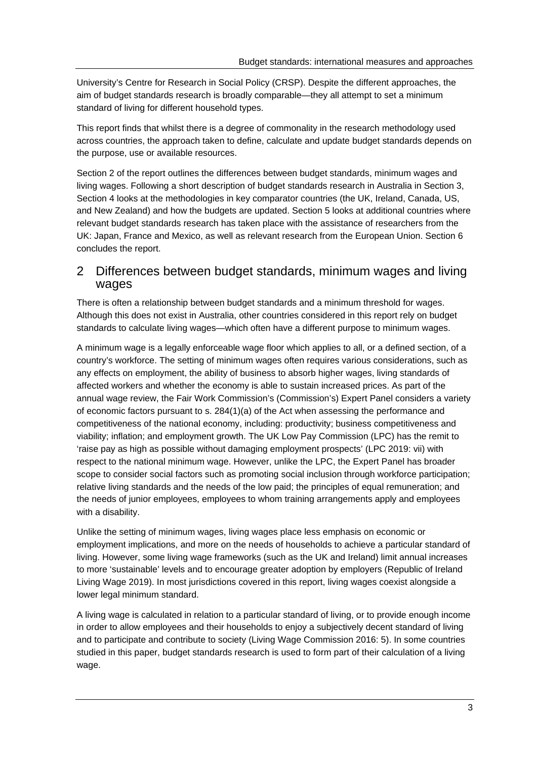University's Centre for Research in Social Policy (CRSP). Despite the different approaches, the aim of budget standards research is broadly comparable—they all attempt to set a minimum standard of living for different household types.

This report finds that whilst there is a degree of commonality in the research methodology used across countries, the approach taken to define, calculate and update budget standards depends on the purpose, use or available resources.

Section 2 of the report outlines the differences between budget standards, minimum wages and living wages. Following a short description of budget standards research in Australia in Section 3, Section 4 looks at the methodologies in key comparator countries (the UK, Ireland, Canada, US, and New Zealand) and how the budgets are updated. Section 5 looks at additional countries where relevant budget standards research has taken place with the assistance of researchers from the UK: Japan, France and Mexico, as well as relevant research from the European Union. Section 6 concludes the report.

# 2 Differences between budget standards, minimum wages and living wages

There is often a relationship between budget standards and a minimum threshold for wages. Although this does not exist in Australia, other countries considered in this report rely on budget standards to calculate living wages—which often have a different purpose to minimum wages.

A minimum wage is a legally enforceable wage floor which applies to all, or a defined section, of a country's workforce. The setting of minimum wages often requires various considerations, such as any effects on employment, the ability of business to absorb higher wages, living standards of affected workers and whether the economy is able to sustain increased prices. As part of the annual wage review, the Fair Work Commission's (Commission's) Expert Panel considers a variety of economic factors pursuant to s. 284(1)(a) of the Act when assessing the performance and competitiveness of the national economy, including: productivity; business competitiveness and viability; inflation; and employment growth. The UK Low Pay Commission (LPC) has the remit to 'raise pay as high as possible without damaging employment prospects' (LPC 2019: vii) with respect to the national minimum wage. However, unlike the LPC, the Expert Panel has broader scope to consider social factors such as promoting social inclusion through workforce participation; relative living standards and the needs of the low paid; the principles of equal remuneration; and the needs of junior employees, employees to whom training arrangements apply and employees with a disability.

Unlike the setting of minimum wages, living wages place less emphasis on economic or employment implications, and more on the needs of households to achieve a particular standard of living. However, some living wage frameworks (such as the UK and Ireland) limit annual increases to more 'sustainable' levels and to encourage greater adoption by employers (Republic of Ireland Living Wage 2019). In most jurisdictions covered in this report, living wages coexist alongside a lower legal minimum standard.

A living wage is calculated in relation to a particular standard of living, or to provide enough income in order to allow employees and their households to enjoy a subjectively decent standard of living and to participate and contribute to society (Living Wage Commission 2016: 5). In some countries studied in this paper, budget standards research is used to form part of their calculation of a living wage.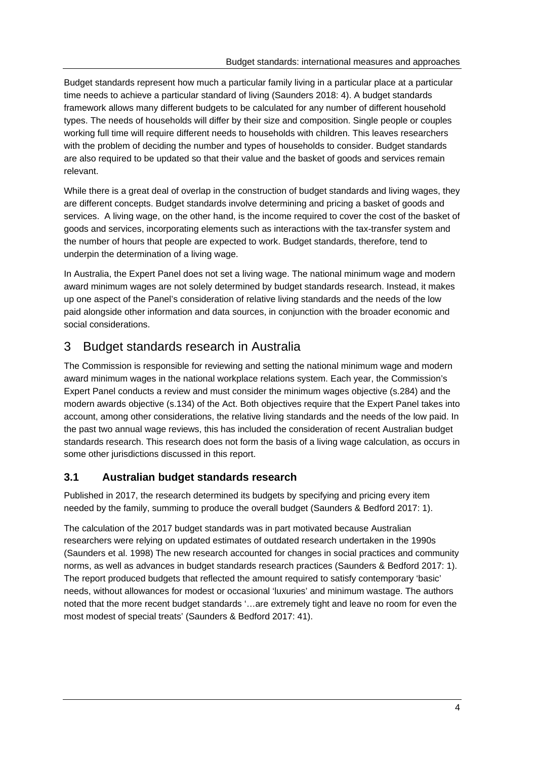Budget standards represent how much a particular family living in a particular place at a particular time needs to achieve a particular standard of living (Saunders 2018: 4). A budget standards framework allows many different budgets to be calculated for any number of different household types. The needs of households will differ by their size and composition. Single people or couples working full time will require different needs to households with children. This leaves researchers with the problem of deciding the number and types of households to consider. Budget standards are also required to be updated so that their value and the basket of goods and services remain relevant.

While there is a great deal of overlap in the construction of budget standards and living wages, they are different concepts. Budget standards involve determining and pricing a basket of goods and services. A living wage, on the other hand, is the income required to cover the cost of the basket of goods and services, incorporating elements such as interactions with the tax-transfer system and the number of hours that people are expected to work. Budget standards, therefore, tend to underpin the determination of a living wage.

In Australia, the Expert Panel does not set a living wage. The national minimum wage and modern award minimum wages are not solely determined by budget standards research. Instead, it makes up one aspect of the Panel's consideration of relative living standards and the needs of the low paid alongside other information and data sources, in conjunction with the broader economic and social considerations.

# 3 Budget standards research in Australia

The Commission is responsible for reviewing and setting the national minimum wage and modern award minimum wages in the national workplace relations system. Each year, the Commission's Expert Panel conducts a review and must consider the minimum wages objective (s.284) and the modern awards objective (s.134) of the Act. Both objectives require that the Expert Panel takes into account, among other considerations, the relative living standards and the needs of the low paid. In the past two annual wage reviews, this has included the consideration of recent Australian budget standards research. This research does not form the basis of a living wage calculation, as occurs in some other jurisdictions discussed in this report.

# **3.1 Australian budget standards research**

Published in 2017, the research determined its budgets by specifying and pricing every item needed by the family, summing to produce the overall budget (Saunders & Bedford 2017: 1).

The calculation of the 2017 budget standards was in part motivated because Australian researchers were relying on updated estimates of outdated research undertaken in the 1990s (Saunders et al. 1998) The new research accounted for changes in social practices and community norms, as well as advances in budget standards research practices (Saunders & Bedford 2017: 1). The report produced budgets that reflected the amount required to satisfy contemporary 'basic' needs, without allowances for modest or occasional 'luxuries' and minimum wastage. The authors noted that the more recent budget standards '…are extremely tight and leave no room for even the most modest of special treats' (Saunders & Bedford 2017: 41).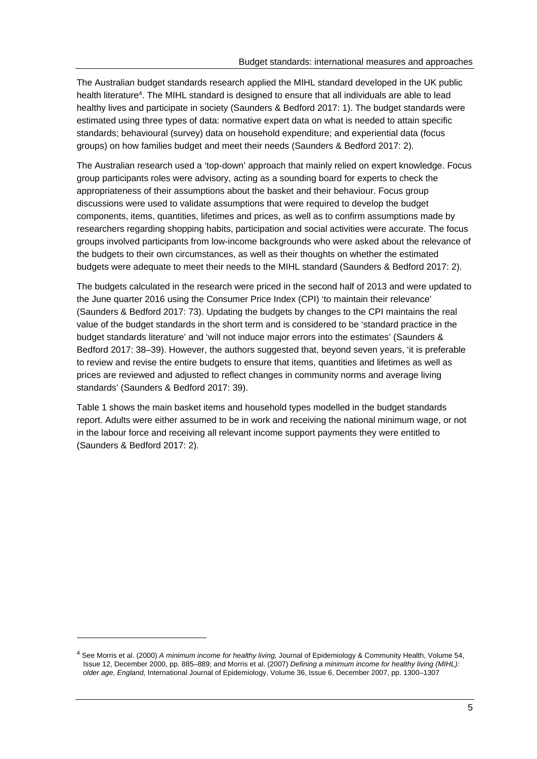The Australian budget standards research applied the MIHL standard developed in the UK public health literature<sup>4</sup>. The MIHL standard is designed to ensure that all individuals are able to lead healthy lives and participate in society (Saunders & Bedford 2017: 1). The budget standards were estimated using three types of data: normative expert data on what is needed to attain specific standards; behavioural (survey) data on household expenditure; and experiential data (focus groups) on how families budget and meet their needs (Saunders & Bedford 2017: 2).

The Australian research used a 'top-down' approach that mainly relied on expert knowledge. Focus group participants roles were advisory, acting as a sounding board for experts to check the appropriateness of their assumptions about the basket and their behaviour. Focus group discussions were used to validate assumptions that were required to develop the budget components, items, quantities, lifetimes and prices, as well as to confirm assumptions made by researchers regarding shopping habits, participation and social activities were accurate. The focus groups involved participants from low-income backgrounds who were asked about the relevance of the budgets to their own circumstances, as well as their thoughts on whether the estimated budgets were adequate to meet their needs to the MIHL standard (Saunders & Bedford 2017: 2).

The budgets calculated in the research were priced in the second half of 2013 and were updated to the June quarter 2016 using the Consumer Price Index (CPI) 'to maintain their relevance' (Saunders & Bedford 2017: 73). Updating the budgets by changes to the CPI maintains the real value of the budget standards in the short term and is considered to be 'standard practice in the budget standards literature' and 'will not induce major errors into the estimates' (Saunders & Bedford 2017: 38–39). However, the authors suggested that, beyond seven years, 'it is preferable to review and revise the entire budgets to ensure that items, quantities and lifetimes as well as prices are reviewed and adjusted to reflect changes in community norms and average living standards' (Saunders & Bedford 2017: 39).

Table 1 shows the main basket items and household types modelled in the budget standards report. Adults were either assumed to be in work and receiving the national minimum wage, or not in the labour force and receiving all relevant income support payments they were entitled to (Saunders & Bedford 2017: 2).

<sup>4</sup> See Morris et al. (2000) *A minimum income for healthy living,* Journal of Epidemiology & Community Health, Volume 54, Issue 12, December 2000, pp. 885–889; and Morris et al. (2007) *Defining a minimum income for healthy living (MIHL): older age, England,* International Journal of Epidemiology, Volume 36, Issue 6, December 2007, pp. 1300–1307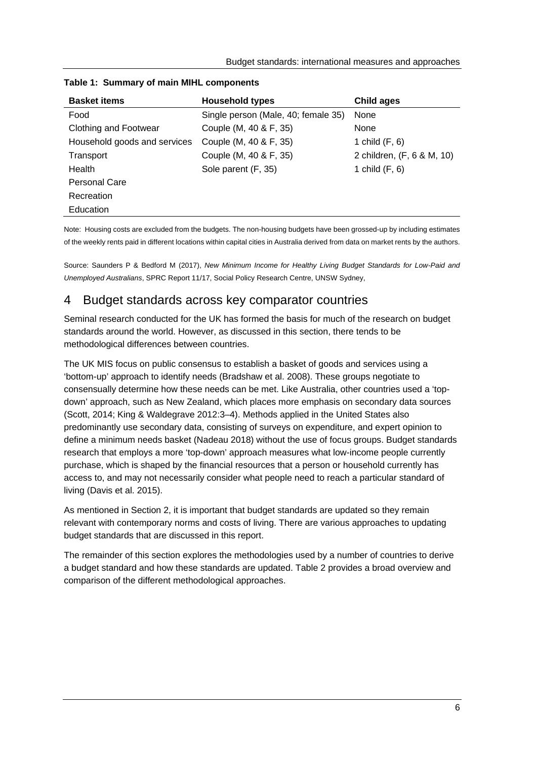| <b>Basket items</b>          | <b>Household types</b>              | Child ages                 |  |
|------------------------------|-------------------------------------|----------------------------|--|
| Food                         | Single person (Male, 40; female 35) | None                       |  |
| <b>Clothing and Footwear</b> | Couple (M, 40 & F, 35)              | None                       |  |
| Household goods and services | Couple (M, 40 & F, 35)              | 1 child $(F, 6)$           |  |
| Transport                    | Couple (M, 40 & F, 35)              | 2 children, (F, 6 & M, 10) |  |
| Health                       | Sole parent (F, 35)                 | 1 child $(F, 6)$           |  |
| <b>Personal Care</b>         |                                     |                            |  |
| Recreation                   |                                     |                            |  |
| Education                    |                                     |                            |  |

#### **Table 1: Summary of main MIHL components**

Note: Housing costs are excluded from the budgets. The non-housing budgets have been grossed-up by including estimates of the weekly rents paid in different locations within capital cities in Australia derived from data on market rents by the authors.

Source: Saunders P & Bedford M (2017), *New Minimum Income for Healthy Living Budget Standards for Low-Paid and Unemployed Australians*, SPRC Report 11/17, Social Policy Research Centre, UNSW Sydney,

# 4 Budget standards across key comparator countries

Seminal research conducted for the UK has formed the basis for much of the research on budget standards around the world. However, as discussed in this section, there tends to be methodological differences between countries.

The UK MIS focus on public consensus to establish a basket of goods and services using a 'bottom-up' approach to identify needs (Bradshaw et al. 2008). These groups negotiate to consensually determine how these needs can be met. Like Australia, other countries used a 'topdown' approach, such as New Zealand, which places more emphasis on secondary data sources (Scott, 2014; King & Waldegrave 2012:3–4). Methods applied in the United States also predominantly use secondary data, consisting of surveys on expenditure, and expert opinion to define a minimum needs basket (Nadeau 2018) without the use of focus groups. Budget standards research that employs a more 'top-down' approach measures what low-income people currently purchase, which is shaped by the financial resources that a person or household currently has access to, and may not necessarily consider what people need to reach a particular standard of living (Davis et al. 2015).

As mentioned in Section 2, it is important that budget standards are updated so they remain relevant with contemporary norms and costs of living. There are various approaches to updating budget standards that are discussed in this report.

The remainder of this section explores the methodologies used by a number of countries to derive a budget standard and how these standards are updated. Table 2 provides a broad overview and comparison of the different methodological approaches.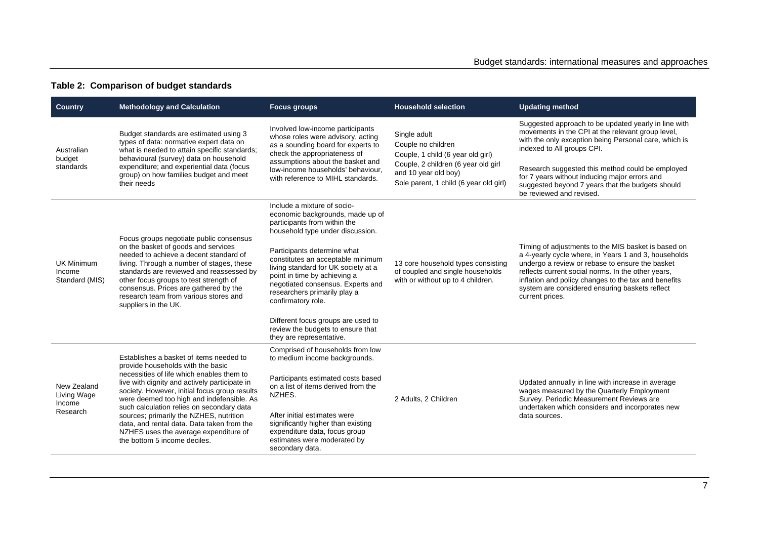### **Table 2: Comparison of budget standards**

| <b>Country</b>                                | <b>Methodology and Calculation</b>                                                                                                                                                                                                                                                                                         | <b>Focus groups</b>                                                                                                                                                                                                                | <b>Household selection</b>                                                                                     | <b>Updating method</b>                                                                                                                                                                                                                                                                                                                            |  |
|-----------------------------------------------|----------------------------------------------------------------------------------------------------------------------------------------------------------------------------------------------------------------------------------------------------------------------------------------------------------------------------|------------------------------------------------------------------------------------------------------------------------------------------------------------------------------------------------------------------------------------|----------------------------------------------------------------------------------------------------------------|---------------------------------------------------------------------------------------------------------------------------------------------------------------------------------------------------------------------------------------------------------------------------------------------------------------------------------------------------|--|
| Australian<br>budget<br>standards             | Budget standards are estimated using 3<br>types of data: normative expert data on<br>what is needed to attain specific standards;<br>behavioural (survey) data on household<br>expenditure; and experiential data (focus                                                                                                   | Involved low-income participants<br>whose roles were advisory, acting<br>as a sounding board for experts to<br>check the appropriateness of<br>assumptions about the basket and                                                    | Single adult<br>Couple no children<br>Couple, 1 child (6 year old girl)<br>Couple, 2 children (6 year old girl | Suggested approach to be updated yearly in line with<br>movements in the CPI at the relevant group level,<br>with the only exception being Personal care, which is<br>indexed to All groups CPI.                                                                                                                                                  |  |
|                                               | group) on how families budget and meet<br>their needs                                                                                                                                                                                                                                                                      | low-income households' behaviour,<br>with reference to MIHL standards.                                                                                                                                                             | and 10 year old boy)<br>Sole parent, 1 child (6 year old girl)                                                 | Research suggested this method could be employed<br>for 7 years without inducing major errors and<br>suggested beyond 7 years that the budgets should<br>be reviewed and revised.                                                                                                                                                                 |  |
|                                               | Focus groups negotiate public consensus                                                                                                                                                                                                                                                                                    | Include a mixture of socio-<br>economic backgrounds, made up of<br>participants from within the<br>household type under discussion.                                                                                                |                                                                                                                |                                                                                                                                                                                                                                                                                                                                                   |  |
| <b>UK Minimum</b><br>Income<br>Standard (MIS) | on the basket of goods and services<br>needed to achieve a decent standard of<br>living. Through a number of stages, these<br>standards are reviewed and reassessed by<br>other focus groups to test strength of<br>consensus. Prices are gathered by the<br>research team from various stores and<br>suppliers in the UK. | Participants determine what<br>constitutes an acceptable minimum<br>living standard for UK society at a<br>point in time by achieving a<br>negotiated consensus. Experts and<br>researchers primarily play a<br>confirmatory role. | 13 core household types consisting<br>of coupled and single households<br>with or without up to 4 children.    | Timing of adjustments to the MIS basket is based on<br>a 4-yearly cycle where, in Years 1 and 3, households<br>undergo a review or rebase to ensure the basket<br>reflects current social norms. In the other years,<br>inflation and policy changes to the tax and benefits<br>system are considered ensuring baskets reflect<br>current prices. |  |
|                                               |                                                                                                                                                                                                                                                                                                                            | Different focus groups are used to<br>review the budgets to ensure that<br>they are representative.                                                                                                                                |                                                                                                                |                                                                                                                                                                                                                                                                                                                                                   |  |
|                                               | Establishes a basket of items needed to<br>provide households with the basic                                                                                                                                                                                                                                               | Comprised of households from low<br>to medium income backgrounds.                                                                                                                                                                  |                                                                                                                | Updated annually in line with increase in average<br>wages measured by the Quarterly Employment<br>Survey. Periodic Measurement Reviews are<br>undertaken which considers and incorporates new<br>data sources.                                                                                                                                   |  |
| New Zealand<br>Living Wage<br>Income          | necessities of life which enables them to<br>live with dignity and actively participate in<br>society. However, initial focus group results<br>were deemed too high and indefensible. As                                                                                                                                   | Participants estimated costs based<br>on a list of items derived from the<br>NZHES.                                                                                                                                                | 2 Adults, 2 Children                                                                                           |                                                                                                                                                                                                                                                                                                                                                   |  |
| Research                                      | such calculation relies on secondary data<br>sources; primarily the NZHES, nutrition<br>data, and rental data. Data taken from the<br>NZHES uses the average expenditure of<br>the bottom 5 income deciles.                                                                                                                | After initial estimates were<br>significantly higher than existing<br>expenditure data, focus group<br>estimates were moderated by<br>secondary data.                                                                              |                                                                                                                |                                                                                                                                                                                                                                                                                                                                                   |  |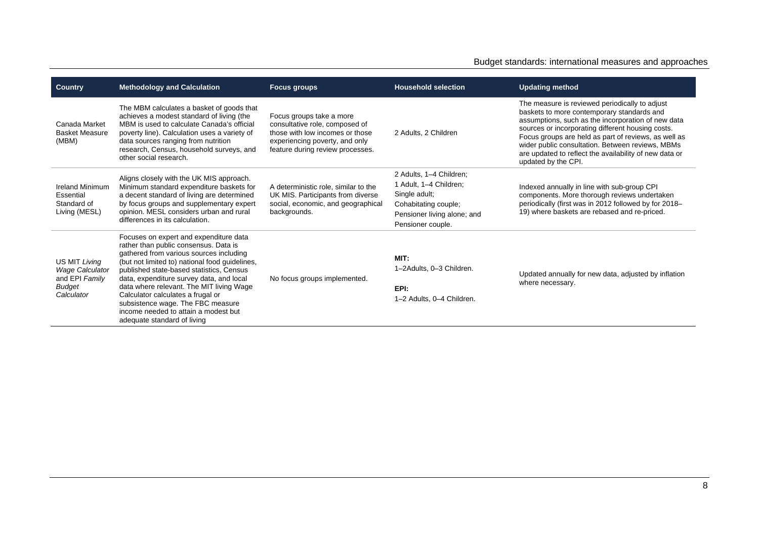#### Budget standards: international measures and approaches

| <b>Country</b>                                                                           | <b>Methodology and Calculation</b><br><b>Focus groups</b>                                                                                                                                                                                                                                                                                                                                                                                                         |                                                                                                                                                                     | <b>Household selection</b>                                                                                                                     | <b>Updating method</b>                                                                                                                                                                                                                                                                                                                                                                               |
|------------------------------------------------------------------------------------------|-------------------------------------------------------------------------------------------------------------------------------------------------------------------------------------------------------------------------------------------------------------------------------------------------------------------------------------------------------------------------------------------------------------------------------------------------------------------|---------------------------------------------------------------------------------------------------------------------------------------------------------------------|------------------------------------------------------------------------------------------------------------------------------------------------|------------------------------------------------------------------------------------------------------------------------------------------------------------------------------------------------------------------------------------------------------------------------------------------------------------------------------------------------------------------------------------------------------|
| Canada Market<br><b>Basket Measure</b><br>(MBM)                                          | The MBM calculates a basket of goods that<br>achieves a modest standard of living (the<br>MBM is used to calculate Canada's official<br>poverty line). Calculation uses a variety of<br>data sources ranging from nutrition<br>research, Census, household surveys, and<br>other social research.                                                                                                                                                                 | Focus groups take a more<br>consultative role, composed of<br>those with low incomes or those<br>experiencing poverty, and only<br>feature during review processes. | 2 Adults, 2 Children                                                                                                                           | The measure is reviewed periodically to adjust<br>baskets to more contemporary standards and<br>assumptions, such as the incorporation of new data<br>sources or incorporating different housing costs.<br>Focus groups are held as part of reviews, as well as<br>wider public consultation. Between reviews, MBMs<br>are updated to reflect the availability of new data or<br>updated by the CPI. |
| <b>Ireland Minimum</b><br>Essential<br>Standard of<br>Living (MESL)                      | Aligns closely with the UK MIS approach.<br>Minimum standard expenditure baskets for<br>a decent standard of living are determined<br>by focus groups and supplementary expert<br>opinion. MESL considers urban and rural<br>differences in its calculation.                                                                                                                                                                                                      | A deterministic role, similar to the<br>UK MIS. Participants from diverse<br>social, economic, and geographical<br>backgrounds.                                     | 2 Adults, 1-4 Children;<br>1 Adult, 1-4 Children;<br>Single adult;<br>Cohabitating couple;<br>Pensioner living alone; and<br>Pensioner couple. | Indexed annually in line with sub-group CPI<br>components. More thorough reviews undertaken<br>periodically (first was in 2012 followed by for 2018-<br>19) where baskets are rebased and re-priced.                                                                                                                                                                                                 |
| US MIT Living<br><b>Wage Calculator</b><br>and EPI Family<br><b>Budget</b><br>Calculator | Focuses on expert and expenditure data<br>rather than public consensus. Data is<br>gathered from various sources including<br>(but not limited to) national food guidelines,<br>published state-based statistics, Census<br>data, expenditure survey data, and local<br>data where relevant. The MIT living Wage<br>Calculator calculates a frugal or<br>subsistence wage. The FBC measure<br>income needed to attain a modest but<br>adequate standard of living | No focus groups implemented.                                                                                                                                        | MIT:<br>1-2Adults, 0-3 Children.<br>EPI:<br>1-2 Adults, 0-4 Children.                                                                          | Updated annually for new data, adjusted by inflation<br>where necessary.                                                                                                                                                                                                                                                                                                                             |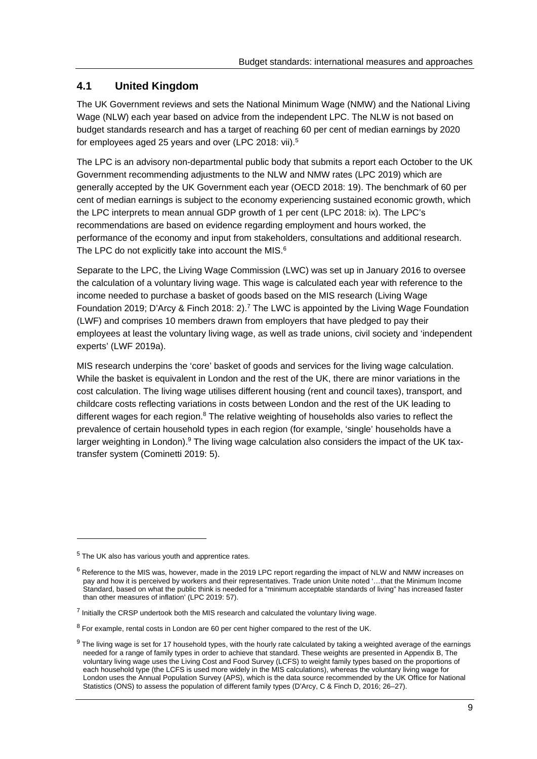# **4.1 United Kingdom**

The UK Government reviews and sets the National Minimum Wage (NMW) and the National Living Wage (NLW) each year based on advice from the independent LPC. The NLW is not based on budget standards research and has a target of reaching 60 per cent of median earnings by 2020 for employees aged 25 years and over (LPC 2018: vii).5

The LPC is an advisory non-departmental public body that submits a report each October to the UK Government recommending adjustments to the NLW and NMW rates (LPC 2019) which are generally accepted by the UK Government each year (OECD 2018: 19). The benchmark of 60 per cent of median earnings is subject to the economy experiencing sustained economic growth, which the LPC interprets to mean annual GDP growth of 1 per cent (LPC 2018: ix). The LPC's recommendations are based on evidence regarding employment and hours worked, the performance of the economy and input from stakeholders, consultations and additional research. The LPC do not explicitly take into account the MIS.<sup>6</sup>

Separate to the LPC, the Living Wage Commission (LWC) was set up in January 2016 to oversee the calculation of a voluntary living wage. This wage is calculated each year with reference to the income needed to purchase a basket of goods based on the MIS research (Living Wage Foundation 2019; D'Arcy & Finch 2018: 2).7 The LWC is appointed by the Living Wage Foundation (LWF) and comprises 10 members drawn from employers that have pledged to pay their employees at least the voluntary living wage, as well as trade unions, civil society and 'independent experts' (LWF 2019a).

MIS research underpins the 'core' basket of goods and services for the living wage calculation. While the basket is equivalent in London and the rest of the UK, there are minor variations in the cost calculation. The living wage utilises different housing (rent and council taxes), transport, and childcare costs reflecting variations in costs between London and the rest of the UK leading to different wages for each region. $8$  The relative weighting of households also varies to reflect the prevalence of certain household types in each region (for example, 'single' households have a larger weighting in London).<sup>9</sup> The living wage calculation also considers the impact of the UK taxtransfer system (Cominetti 2019: 5).

<sup>5</sup> The UK also has various youth and apprentice rates.

 $6$  Reference to the MIS was, however, made in the 2019 LPC report regarding the impact of NLW and NMW increases on pay and how it is perceived by workers and their representatives. Trade union Unite noted '…that the Minimum Income Standard, based on what the public think is needed for a "minimum acceptable standards of living" has increased faster than other measures of inflation' (LPC 2019: 57).

 $<sup>7</sup>$  Initially the CRSP undertook both the MIS research and calculated the voluntary living wage.</sup>

 $8$  For example, rental costs in London are 60 per cent higher compared to the rest of the UK.

<sup>&</sup>lt;sup>9</sup> The living wage is set for 17 household types, with the hourly rate calculated by taking a weighted average of the earnings needed for a range of family types in order to achieve that standard. These weights are presented in Appendix B, The voluntary living wage uses the Living Cost and Food Survey (LCFS) to weight family types based on the proportions of each household type (the LCFS is used more widely in the MIS calculations), whereas the voluntary living wage for London uses the Annual Population Survey (APS), which is the data source recommended by the UK Office for National Statistics (ONS) to assess the population of different family types (D'Arcy, C & Finch D, 2016; 26–27).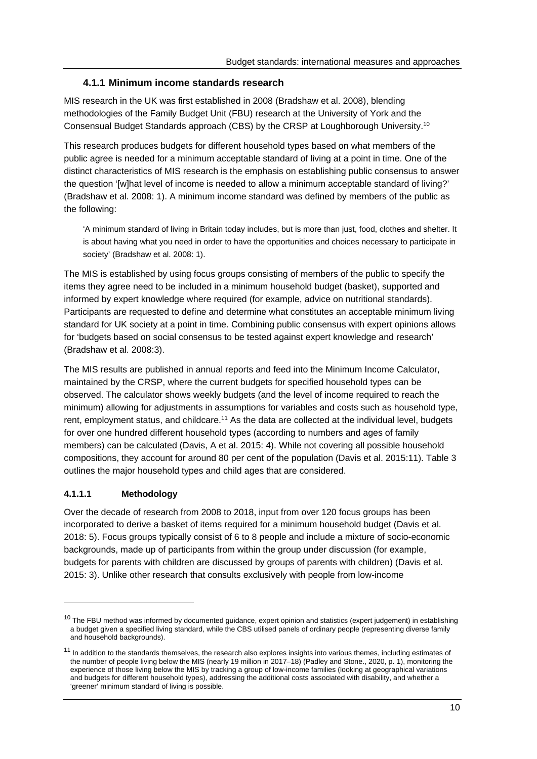#### **4.1.1 Minimum income standards research**

MIS research in the UK was first established in 2008 (Bradshaw et al. 2008), blending methodologies of the Family Budget Unit (FBU) research at the University of York and the Consensual Budget Standards approach (CBS) by the CRSP at Loughborough University.10

This research produces budgets for different household types based on what members of the public agree is needed for a minimum acceptable standard of living at a point in time. One of the distinct characteristics of MIS research is the emphasis on establishing public consensus to answer the question '[w]hat level of income is needed to allow a minimum acceptable standard of living?' (Bradshaw et al. 2008: 1). A minimum income standard was defined by members of the public as the following:

'A minimum standard of living in Britain today includes, but is more than just, food, clothes and shelter. It is about having what you need in order to have the opportunities and choices necessary to participate in society' (Bradshaw et al. 2008: 1).

The MIS is established by using focus groups consisting of members of the public to specify the items they agree need to be included in a minimum household budget (basket), supported and informed by expert knowledge where required (for example, advice on nutritional standards). Participants are requested to define and determine what constitutes an acceptable minimum living standard for UK society at a point in time. Combining public consensus with expert opinions allows for 'budgets based on social consensus to be tested against expert knowledge and research' (Bradshaw et al. 2008:3).

The MIS results are published in annual reports and feed into the Minimum Income Calculator, maintained by the CRSP, where the current budgets for specified household types can be observed. The calculator shows weekly budgets (and the level of income required to reach the minimum) allowing for adjustments in assumptions for variables and costs such as household type, rent, employment status, and childcare.<sup>11</sup> As the data are collected at the individual level, budgets for over one hundred different household types (according to numbers and ages of family members) can be calculated (Davis, A et al. 2015: 4). While not covering all possible household compositions, they account for around 80 per cent of the population (Davis et al. 2015:11). Table 3 outlines the major household types and child ages that are considered.

#### **4.1.1.1 Methodology**

Over the decade of research from 2008 to 2018, input from over 120 focus groups has been incorporated to derive a basket of items required for a minimum household budget (Davis et al. 2018: 5). Focus groups typically consist of 6 to 8 people and include a mixture of socio-economic backgrounds, made up of participants from within the group under discussion (for example, budgets for parents with children are discussed by groups of parents with children) (Davis et al. 2015: 3). Unlike other research that consults exclusively with people from low-income

<sup>&</sup>lt;sup>10</sup> The FBU method was informed by documented guidance, expert opinion and statistics (expert judgement) in establishing a budget given a specified living standard, while the CBS utilised panels of ordinary people (representing diverse family and household backgrounds).

 $11$  In addition to the standards themselves, the research also explores insights into various themes, including estimates of the number of people living below the MIS (nearly 19 million in 2017–18) (Padley and Stone., 2020, p. 1), monitoring the experience of those living below the MIS by tracking a group of low-income families (looking at geographical variations and budgets for different household types), addressing the additional costs associated with disability, and whether a 'greener' minimum standard of living is possible.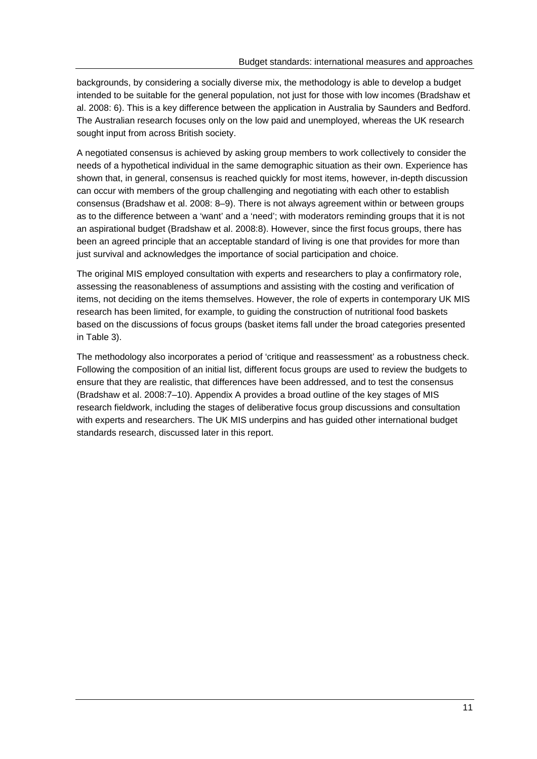backgrounds, by considering a socially diverse mix, the methodology is able to develop a budget intended to be suitable for the general population, not just for those with low incomes (Bradshaw et al. 2008: 6). This is a key difference between the application in Australia by Saunders and Bedford. The Australian research focuses only on the low paid and unemployed, whereas the UK research sought input from across British society.

A negotiated consensus is achieved by asking group members to work collectively to consider the needs of a hypothetical individual in the same demographic situation as their own. Experience has shown that, in general, consensus is reached quickly for most items, however, in-depth discussion can occur with members of the group challenging and negotiating with each other to establish consensus (Bradshaw et al. 2008: 8–9). There is not always agreement within or between groups as to the difference between a 'want' and a 'need'; with moderators reminding groups that it is not an aspirational budget (Bradshaw et al. 2008:8). However, since the first focus groups, there has been an agreed principle that an acceptable standard of living is one that provides for more than just survival and acknowledges the importance of social participation and choice.

The original MIS employed consultation with experts and researchers to play a confirmatory role, assessing the reasonableness of assumptions and assisting with the costing and verification of items, not deciding on the items themselves. However, the role of experts in contemporary UK MIS research has been limited, for example, to guiding the construction of nutritional food baskets based on the discussions of focus groups (basket items fall under the broad categories presented in Table 3).

The methodology also incorporates a period of 'critique and reassessment' as a robustness check. Following the composition of an initial list, different focus groups are used to review the budgets to ensure that they are realistic, that differences have been addressed, and to test the consensus (Bradshaw et al. 2008:7–10). Appendix A provides a broad outline of the key stages of MIS research fieldwork, including the stages of deliberative focus group discussions and consultation with experts and researchers. The UK MIS underpins and has guided other international budget standards research, discussed later in this report.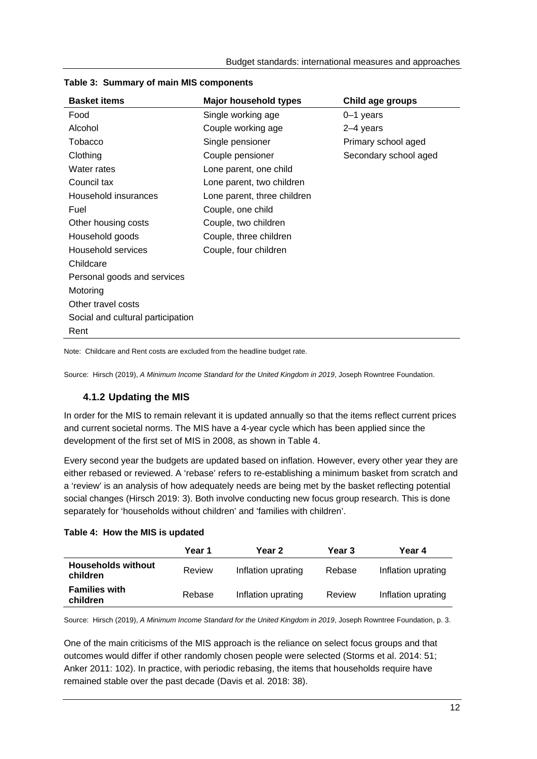| <b>Basket items</b>               | <b>Major household types</b> | Child age groups      |
|-----------------------------------|------------------------------|-----------------------|
| Food                              | Single working age           | 0–1 years             |
| Alcohol                           | Couple working age           | 2-4 years             |
| Tobacco                           | Single pensioner             | Primary school aged   |
| Clothing                          | Couple pensioner             | Secondary school aged |
| Water rates                       | Lone parent, one child       |                       |
| Council tax                       | Lone parent, two children    |                       |
| Household insurances              | Lone parent, three children  |                       |
| Fuel                              | Couple, one child            |                       |
| Other housing costs               | Couple, two children         |                       |
| Household goods                   | Couple, three children       |                       |
| Household services                | Couple, four children        |                       |
| Childcare                         |                              |                       |
| Personal goods and services       |                              |                       |
| Motoring                          |                              |                       |
| Other travel costs                |                              |                       |
| Social and cultural participation |                              |                       |
| Rent                              |                              |                       |

#### **Table 3: Summary of main MIS components**

Note: Childcare and Rent costs are excluded from the headline budget rate.

Source: Hirsch (2019), *A Minimum Income Standard for the United Kingdom in 2019*, Joseph Rowntree Foundation.

### **4.1.2 Updating the MIS**

In order for the MIS to remain relevant it is updated annually so that the items reflect current prices and current societal norms. The MIS have a 4-year cycle which has been applied since the development of the first set of MIS in 2008, as shown in Table 4.

Every second year the budgets are updated based on inflation. However, every other year they are either rebased or reviewed. A 'rebase' refers to re-establishing a minimum basket from scratch and a 'review' is an analysis of how adequately needs are being met by the basket reflecting potential social changes (Hirsch 2019: 3). Both involve conducting new focus group research. This is done separately for 'households without children' and 'families with children'.

#### **Table 4: How the MIS is updated**

|                                       | Year 1 | Year 2             | Year 3 | Year 4             |
|---------------------------------------|--------|--------------------|--------|--------------------|
| <b>Households without</b><br>children | Review | Inflation uprating | Rebase | Inflation uprating |
| <b>Families with</b><br>children      | Rebase | Inflation uprating | Review | Inflation uprating |

Source: Hirsch (2019), *A Minimum Income Standard for the United Kingdom in 2019*, Joseph Rowntree Foundation, p. 3.

One of the main criticisms of the MIS approach is the reliance on select focus groups and that outcomes would differ if other randomly chosen people were selected (Storms et al. 2014: 51; Anker 2011: 102). In practice, with periodic rebasing, the items that households require have remained stable over the past decade (Davis et al. 2018: 38).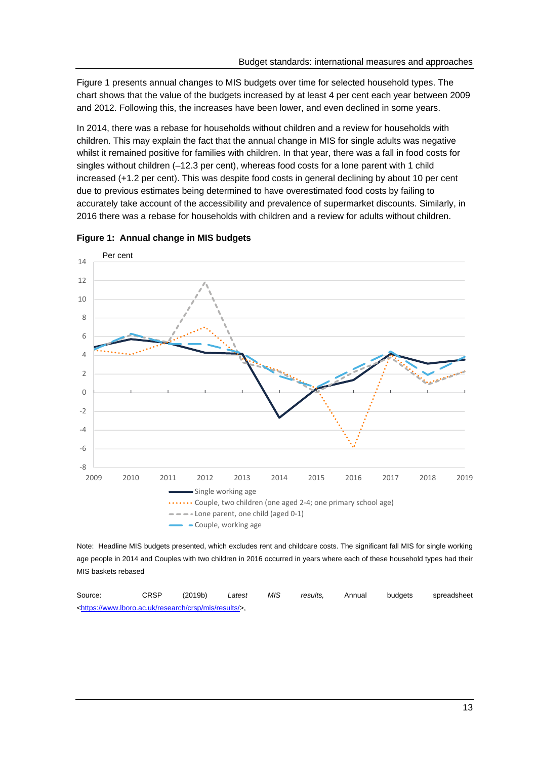Figure 1 presents annual changes to MIS budgets over time for selected household types. The chart shows that the value of the budgets increased by at least 4 per cent each year between 2009 and 2012. Following this, the increases have been lower, and even declined in some years.

In 2014, there was a rebase for households without children and a review for households with children. This may explain the fact that the annual change in MIS for single adults was negative whilst it remained positive for families with children. In that year, there was a fall in food costs for singles without children (–12.3 per cent), whereas food costs for a lone parent with 1 child increased (+1.2 per cent). This was despite food costs in general declining by about 10 per cent due to previous estimates being determined to have overestimated food costs by failing to accurately take account of the accessibility and prevalence of supermarket discounts. Similarly, in 2016 there was a rebase for households with children and a review for adults without children.



**Figure 1: Annual change in MIS budgets** 

Note: Headline MIS budgets presented, which excludes rent and childcare costs. The significant fall MIS for single working age people in 2014 and Couples with two children in 2016 occurred in years where each of these household types had their MIS baskets rebased

| Source:                                                                      | <b>CRSP</b> | (2019b) | Latest | MIS | results. | Annual | budgets | spreadsheet |
|------------------------------------------------------------------------------|-------------|---------|--------|-----|----------|--------|---------|-------------|
| <https: crsp="" mis="" research="" results="" www.lboro.ac.uk=""></https:> , |             |         |        |     |          |        |         |             |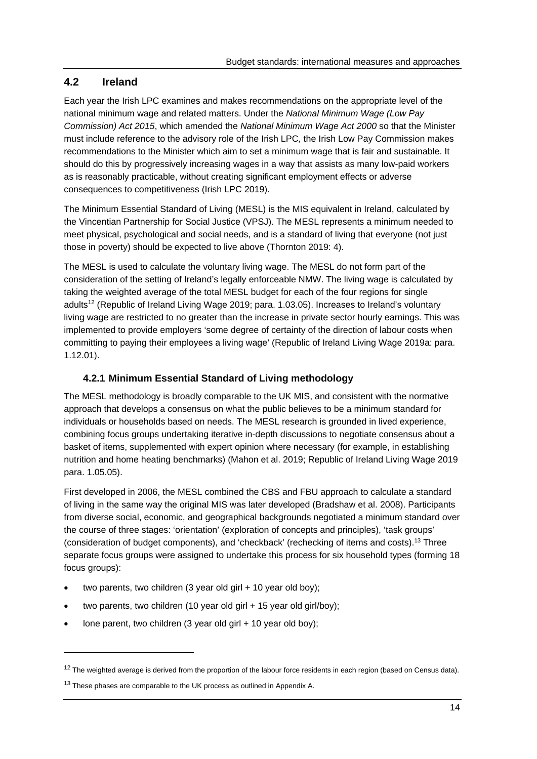# **4.2 Ireland**

Each year the Irish LPC examines and makes recommendations on the appropriate level of the national minimum wage and related matters. Under the *National Minimum Wage (Low Pay Commission) Act 2015*, which amended the *National Minimum Wage Act 2000* so that the Minister must include reference to the advisory role of the Irish LPC*,* the Irish Low Pay Commission makes recommendations to the Minister which aim to set a minimum wage that is fair and sustainable. It should do this by progressively increasing wages in a way that assists as many low-paid workers as is reasonably practicable, without creating significant employment effects or adverse consequences to competitiveness (Irish LPC 2019).

The Minimum Essential Standard of Living (MESL) is the MIS equivalent in Ireland, calculated by the Vincentian Partnership for Social Justice (VPSJ). The MESL represents a minimum needed to meet physical, psychological and social needs, and is a standard of living that everyone (not just those in poverty) should be expected to live above (Thornton 2019: 4).

The MESL is used to calculate the voluntary living wage. The MESL do not form part of the consideration of the setting of Ireland's legally enforceable NMW. The living wage is calculated by taking the weighted average of the total MESL budget for each of the four regions for single adults12 (Republic of Ireland Living Wage 2019; para. 1.03.05). Increases to Ireland's voluntary living wage are restricted to no greater than the increase in private sector hourly earnings. This was implemented to provide employers 'some degree of certainty of the direction of labour costs when committing to paying their employees a living wage' (Republic of Ireland Living Wage 2019a: para. 1.12.01).

### **4.2.1 Minimum Essential Standard of Living methodology**

The MESL methodology is broadly comparable to the UK MIS, and consistent with the normative approach that develops a consensus on what the public believes to be a minimum standard for individuals or households based on needs. The MESL research is grounded in lived experience, combining focus groups undertaking iterative in-depth discussions to negotiate consensus about a basket of items, supplemented with expert opinion where necessary (for example, in establishing nutrition and home heating benchmarks) (Mahon et al. 2019; Republic of Ireland Living Wage 2019 para. 1.05.05).

First developed in 2006, the MESL combined the CBS and FBU approach to calculate a standard of living in the same way the original MIS was later developed (Bradshaw et al. 2008). Participants from diverse social, economic, and geographical backgrounds negotiated a minimum standard over the course of three stages: 'orientation' (exploration of concepts and principles), 'task groups' (consideration of budget components), and 'checkback' (rechecking of items and costs).13 Three separate focus groups were assigned to undertake this process for six household types (forming 18 focus groups):

- two parents, two children (3 year old girl + 10 year old boy);
- two parents, two children (10 year old girl + 15 year old girl/boy);
- lone parent, two children (3 year old girl + 10 year old boy);

 $12$  The weighted average is derived from the proportion of the labour force residents in each region (based on Census data).

<sup>&</sup>lt;sup>13</sup> These phases are comparable to the UK process as outlined in Appendix A.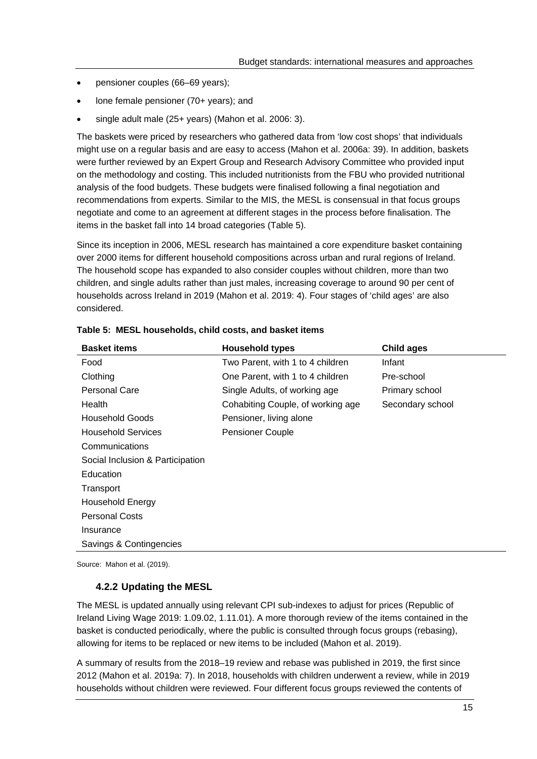- pensioner couples (66–69 years);
- lone female pensioner (70+ years); and
- single adult male (25+ years) (Mahon et al. 2006: 3).

The baskets were priced by researchers who gathered data from 'low cost shops' that individuals might use on a regular basis and are easy to access (Mahon et al. 2006a: 39). In addition, baskets were further reviewed by an Expert Group and Research Advisory Committee who provided input on the methodology and costing. This included nutritionists from the FBU who provided nutritional analysis of the food budgets. These budgets were finalised following a final negotiation and recommendations from experts. Similar to the MIS, the MESL is consensual in that focus groups negotiate and come to an agreement at different stages in the process before finalisation. The items in the basket fall into 14 broad categories (Table 5).

Since its inception in 2006, MESL research has maintained a core expenditure basket containing over 2000 items for different household compositions across urban and rural regions of Ireland. The household scope has expanded to also consider couples without children, more than two children, and single adults rather than just males, increasing coverage to around 90 per cent of households across Ireland in 2019 (Mahon et al. 2019: 4). Four stages of 'child ages' are also considered.

| <b>Basket items</b>              | <b>Household types</b>            | <b>Child ages</b> |  |  |  |
|----------------------------------|-----------------------------------|-------------------|--|--|--|
| Food                             | Two Parent, with 1 to 4 children  | Infant            |  |  |  |
| Clothing                         | One Parent, with 1 to 4 children  | Pre-school        |  |  |  |
| Personal Care                    | Single Adults, of working age     | Primary school    |  |  |  |
| Health                           | Cohabiting Couple, of working age | Secondary school  |  |  |  |
| <b>Household Goods</b>           | Pensioner, living alone           |                   |  |  |  |
| <b>Household Services</b>        | <b>Pensioner Couple</b>           |                   |  |  |  |
| Communications                   |                                   |                   |  |  |  |
| Social Inclusion & Participation |                                   |                   |  |  |  |
| Education                        |                                   |                   |  |  |  |
| Transport                        |                                   |                   |  |  |  |
| <b>Household Energy</b>          |                                   |                   |  |  |  |
| <b>Personal Costs</b>            |                                   |                   |  |  |  |
| Insurance                        |                                   |                   |  |  |  |
| Savings & Contingencies          |                                   |                   |  |  |  |

|  |  |  | Table 5: MESL households, child costs, and basket items |
|--|--|--|---------------------------------------------------------|
|--|--|--|---------------------------------------------------------|

Source: Mahon et al. (2019).

#### **4.2.2 Updating the MESL**

The MESL is updated annually using relevant CPI sub-indexes to adjust for prices (Republic of Ireland Living Wage 2019: 1.09.02, 1.11.01). A more thorough review of the items contained in the basket is conducted periodically, where the public is consulted through focus groups (rebasing), allowing for items to be replaced or new items to be included (Mahon et al. 2019).

A summary of results from the 2018–19 review and rebase was published in 2019, the first since 2012 (Mahon et al. 2019a: 7). In 2018, households with children underwent a review, while in 2019 households without children were reviewed. Four different focus groups reviewed the contents of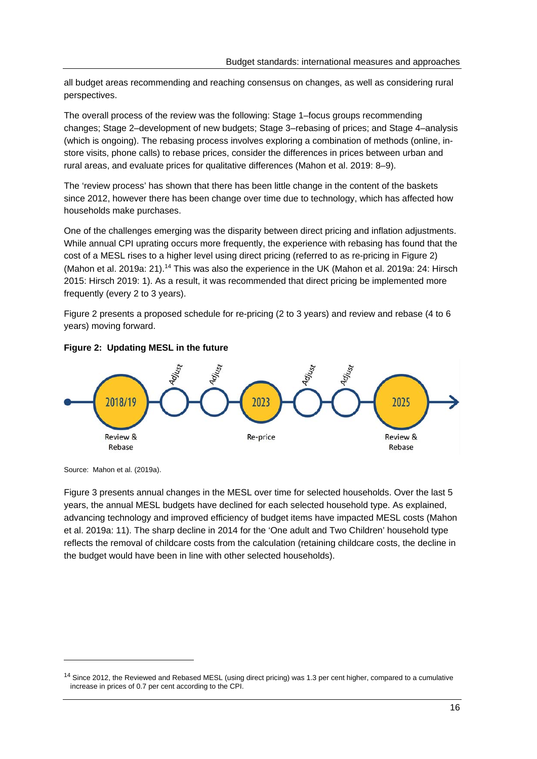all budget areas recommending and reaching consensus on changes, as well as considering rural perspectives.

The overall process of the review was the following: Stage 1–focus groups recommending changes; Stage 2–development of new budgets; Stage 3–rebasing of prices; and Stage 4–analysis (which is ongoing). The rebasing process involves exploring a combination of methods (online, instore visits, phone calls) to rebase prices, consider the differences in prices between urban and rural areas, and evaluate prices for qualitative differences (Mahon et al. 2019: 8–9).

The 'review process' has shown that there has been little change in the content of the baskets since 2012, however there has been change over time due to technology, which has affected how households make purchases.

One of the challenges emerging was the disparity between direct pricing and inflation adjustments. While annual CPI uprating occurs more frequently, the experience with rebasing has found that the cost of a MESL rises to a higher level using direct pricing (referred to as re-pricing in Figure 2) (Mahon et al. 2019a: 21).<sup>14</sup> This was also the experience in the UK (Mahon et al. 2019a: 24: Hirsch 2015: Hirsch 2019: 1). As a result, it was recommended that direct pricing be implemented more frequently (every 2 to 3 years).

Figure 2 presents a proposed schedule for re-pricing (2 to 3 years) and review and rebase (4 to 6 years) moving forward.



#### **Figure 2: Updating MESL in the future**

Source: Mahon et al. (2019a).

Figure 3 presents annual changes in the MESL over time for selected households. Over the last 5 years, the annual MESL budgets have declined for each selected household type. As explained, advancing technology and improved efficiency of budget items have impacted MESL costs (Mahon et al. 2019a: 11). The sharp decline in 2014 for the 'One adult and Two Children' household type reflects the removal of childcare costs from the calculation (retaining childcare costs, the decline in the budget would have been in line with other selected households).

<sup>&</sup>lt;sup>14</sup> Since 2012, the Reviewed and Rebased MESL (using direct pricing) was 1.3 per cent higher, compared to a cumulative increase in prices of 0.7 per cent according to the CPI.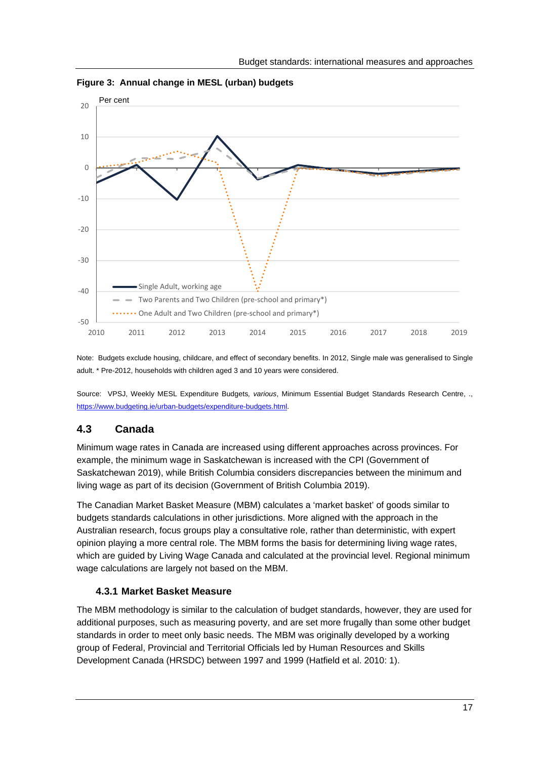

**Figure 3: Annual change in MESL (urban) budgets** 

Note: Budgets exclude housing, childcare, and effect of secondary benefits. In 2012, Single male was generalised to Single adult. \* Pre-2012, households with children aged 3 and 10 years were considered.

Source: VPSJ, Weekly MESL Expenditure Budgets*, various*, Minimum Essential Budget Standards Research Centre, ., https://www.budgeting.ie/urban-budgets/expenditure-budgets.html.

# **4.3 Canada**

Minimum wage rates in Canada are increased using different approaches across provinces. For example, the minimum wage in Saskatchewan is increased with the CPI (Government of Saskatchewan 2019), while British Columbia considers discrepancies between the minimum and living wage as part of its decision (Government of British Columbia 2019).

The Canadian Market Basket Measure (MBM) calculates a 'market basket' of goods similar to budgets standards calculations in other jurisdictions. More aligned with the approach in the Australian research, focus groups play a consultative role, rather than deterministic, with expert opinion playing a more central role. The MBM forms the basis for determining living wage rates, which are guided by Living Wage Canada and calculated at the provincial level. Regional minimum wage calculations are largely not based on the MBM.

#### **4.3.1 Market Basket Measure**

The MBM methodology is similar to the calculation of budget standards, however, they are used for additional purposes, such as measuring poverty, and are set more frugally than some other budget standards in order to meet only basic needs. The MBM was originally developed by a working group of Federal, Provincial and Territorial Officials led by Human Resources and Skills Development Canada (HRSDC) between 1997 and 1999 (Hatfield et al. 2010: 1).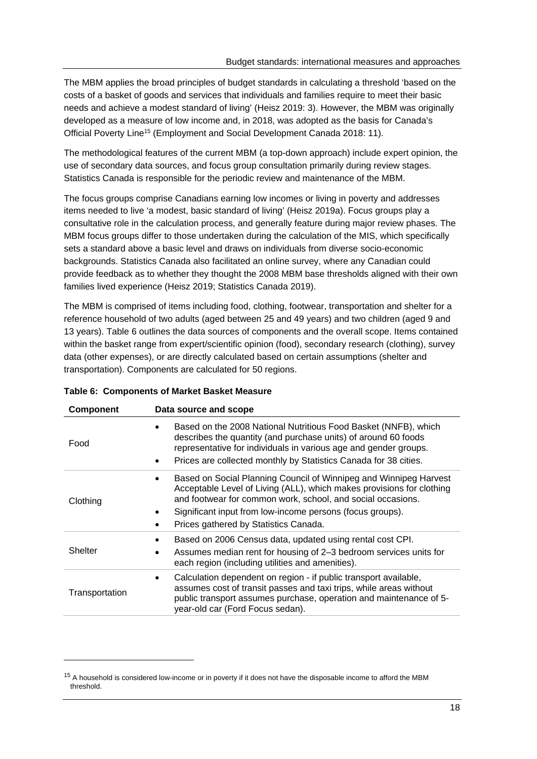The MBM applies the broad principles of budget standards in calculating a threshold 'based on the costs of a basket of goods and services that individuals and families require to meet their basic needs and achieve a modest standard of living' (Heisz 2019: 3). However, the MBM was originally developed as a measure of low income and, in 2018, was adopted as the basis for Canada's Official Poverty Line15 (Employment and Social Development Canada 2018: 11).

The methodological features of the current MBM (a top-down approach) include expert opinion, the use of secondary data sources, and focus group consultation primarily during review stages. Statistics Canada is responsible for the periodic review and maintenance of the MBM.

The focus groups comprise Canadians earning low incomes or living in poverty and addresses items needed to live 'a modest, basic standard of living' (Heisz 2019a). Focus groups play a consultative role in the calculation process, and generally feature during major review phases. The MBM focus groups differ to those undertaken during the calculation of the MIS, which specifically sets a standard above a basic level and draws on individuals from diverse socio-economic backgrounds. Statistics Canada also facilitated an online survey, where any Canadian could provide feedback as to whether they thought the 2008 MBM base thresholds aligned with their own families lived experience (Heisz 2019; Statistics Canada 2019).

The MBM is comprised of items including food, clothing, footwear, transportation and shelter for a reference household of two adults (aged between 25 and 49 years) and two children (aged 9 and 13 years). Table 6 outlines the data sources of components and the overall scope. Items contained within the basket range from expert/scientific opinion (food), secondary research (clothing), survey data (other expenses), or are directly calculated based on certain assumptions (shelter and transportation). Components are calculated for 50 regions.

| <b>Component</b> | Data source and scope                                                                                                                                                                                                                                                                                           |  |  |
|------------------|-----------------------------------------------------------------------------------------------------------------------------------------------------------------------------------------------------------------------------------------------------------------------------------------------------------------|--|--|
| Food             | Based on the 2008 National Nutritious Food Basket (NNFB), which<br>describes the quantity (and purchase units) of around 60 foods<br>representative for individuals in various age and gender groups.<br>Prices are collected monthly by Statistics Canada for 38 cities.                                       |  |  |
| Clothing         | Based on Social Planning Council of Winnipeg and Winnipeg Harvest<br>Acceptable Level of Living (ALL), which makes provisions for clothing<br>and footwear for common work, school, and social occasions.<br>Significant input from low-income persons (focus groups).<br>Prices gathered by Statistics Canada. |  |  |
| Shelter          | Based on 2006 Census data, updated using rental cost CPI.<br>Assumes median rent for housing of 2-3 bedroom services units for<br>each region (including utilities and amenities).                                                                                                                              |  |  |
| Transportation   | Calculation dependent on region - if public transport available,<br>$\bullet$<br>assumes cost of transit passes and taxi trips, while areas without<br>public transport assumes purchase, operation and maintenance of 5-<br>year-old car (Ford Focus sedan).                                                   |  |  |

#### **Table 6: Components of Market Basket Measure**

<sup>&</sup>lt;sup>15</sup> A household is considered low-income or in poverty if it does not have the disposable income to afford the MBM threshold.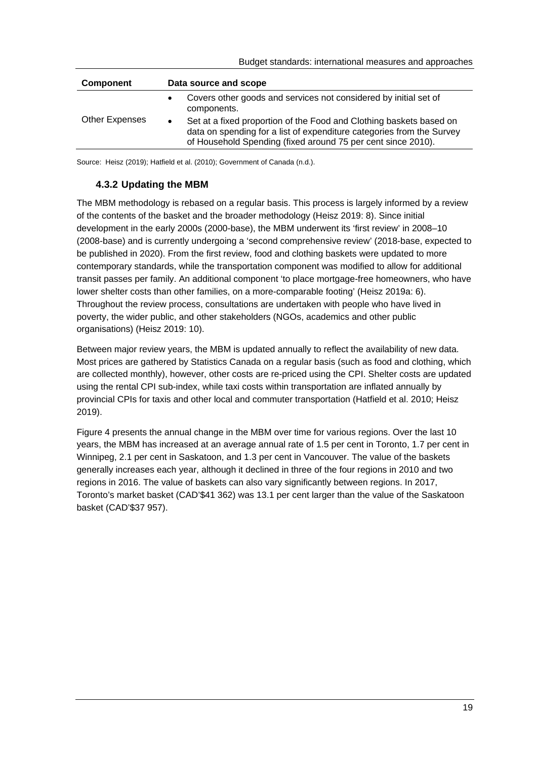| <b>Component</b> | Data source and scope                                                                                                                                                                                                     |  |  |
|------------------|---------------------------------------------------------------------------------------------------------------------------------------------------------------------------------------------------------------------------|--|--|
|                  | Covers other goods and services not considered by initial set of<br>$\bullet$<br>components.                                                                                                                              |  |  |
| Other Expenses   | Set at a fixed proportion of the Food and Clothing baskets based on<br>$\bullet$<br>data on spending for a list of expenditure categories from the Survey<br>of Household Spending (fixed around 75 per cent since 2010). |  |  |

Source: Heisz (2019); Hatfield et al. (2010); Government of Canada (n.d.).

### **4.3.2 Updating the MBM**

The MBM methodology is rebased on a regular basis. This process is largely informed by a review of the contents of the basket and the broader methodology (Heisz 2019: 8). Since initial development in the early 2000s (2000-base), the MBM underwent its 'first review' in 2008–10 (2008-base) and is currently undergoing a 'second comprehensive review' (2018-base, expected to be published in 2020). From the first review, food and clothing baskets were updated to more contemporary standards, while the transportation component was modified to allow for additional transit passes per family. An additional component 'to place mortgage-free homeowners, who have lower shelter costs than other families, on a more-comparable footing' (Heisz 2019a: 6). Throughout the review process, consultations are undertaken with people who have lived in poverty, the wider public, and other stakeholders (NGOs, academics and other public organisations) (Heisz 2019: 10).

Between major review years, the MBM is updated annually to reflect the availability of new data. Most prices are gathered by Statistics Canada on a regular basis (such as food and clothing, which are collected monthly), however, other costs are re-priced using the CPI. Shelter costs are updated using the rental CPI sub-index, while taxi costs within transportation are inflated annually by provincial CPIs for taxis and other local and commuter transportation (Hatfield et al. 2010; Heisz 2019).

Figure 4 presents the annual change in the MBM over time for various regions. Over the last 10 years, the MBM has increased at an average annual rate of 1.5 per cent in Toronto, 1.7 per cent in Winnipeg, 2.1 per cent in Saskatoon, and 1.3 per cent in Vancouver. The value of the baskets generally increases each year, although it declined in three of the four regions in 2010 and two regions in 2016. The value of baskets can also vary significantly between regions. In 2017, Toronto's market basket (CAD'\$41 362) was 13.1 per cent larger than the value of the Saskatoon basket (CAD'\$37 957).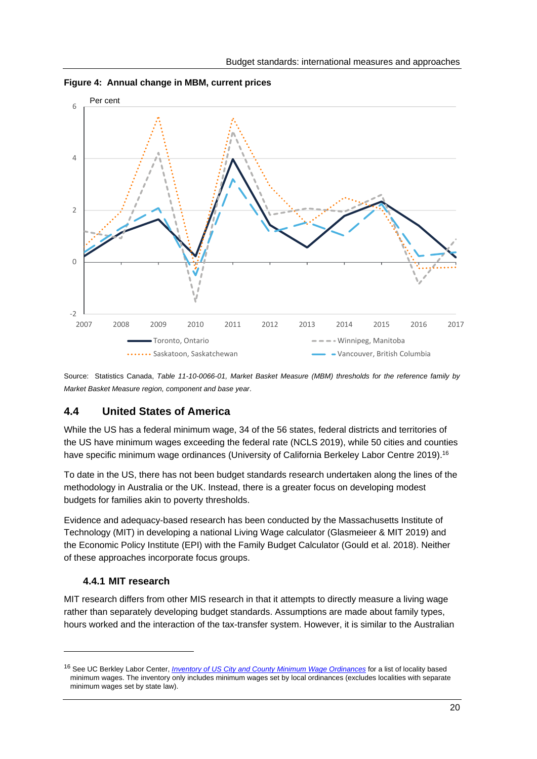

**Figure 4: Annual change in MBM, current prices** 

Source: Statistics Canada, *Table 11-10-0066-01, Market Basket Measure (MBM) thresholds for the reference family by Market Basket Measure region, component and base year*.

### **4.4 United States of America**

While the US has a federal minimum wage, 34 of the 56 states, federal districts and territories of the US have minimum wages exceeding the federal rate (NCLS 2019), while 50 cities and counties have specific minimum wage ordinances (University of California Berkeley Labor Centre 2019).<sup>16</sup>

To date in the US, there has not been budget standards research undertaken along the lines of the methodology in Australia or the UK. Instead, there is a greater focus on developing modest budgets for families akin to poverty thresholds.

Evidence and adequacy-based research has been conducted by the Massachusetts Institute of Technology (MIT) in developing a national Living Wage calculator (Glasmeieer & MIT 2019) and the Economic Policy Institute (EPI) with the Family Budget Calculator (Gould et al. 2018). Neither of these approaches incorporate focus groups.

#### **4.4.1 MIT research**

MIT research differs from other MIS research in that it attempts to directly measure a living wage rather than separately developing budget standards. Assumptions are made about family types, hours worked and the interaction of the tax-transfer system. However, it is similar to the Australian

<sup>16</sup> See UC Berkley Labor Center, *Inventory of US City and County Minimum Wage Ordinances* for a list of locality based minimum wages. The inventory only includes minimum wages set by local ordinances (excludes localities with separate minimum wages set by state law).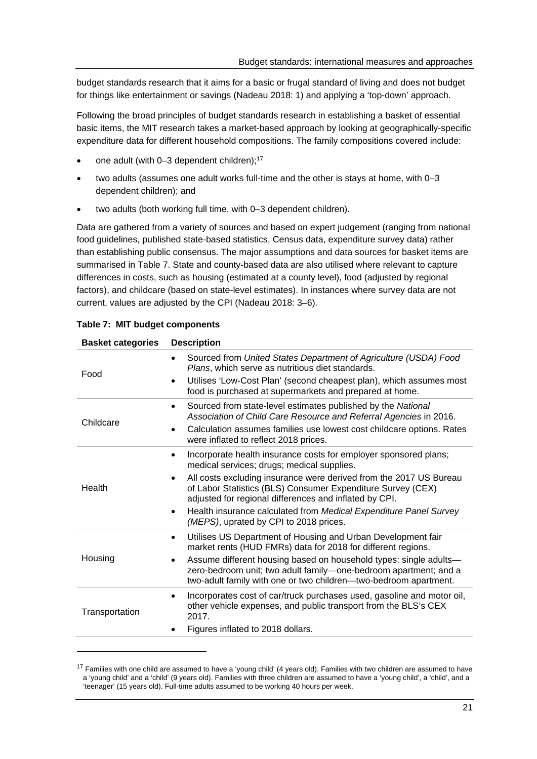budget standards research that it aims for a basic or frugal standard of living and does not budget for things like entertainment or savings (Nadeau 2018: 1) and applying a 'top-down' approach.

Following the broad principles of budget standards research in establishing a basket of essential basic items, the MIT research takes a market-based approach by looking at geographically-specific expenditure data for different household compositions. The family compositions covered include:

- one adult (with 0-3 dependent children);<sup>17</sup>
- two adults (assumes one adult works full-time and the other is stays at home, with 0–3 dependent children); and
- two adults (both working full time, with 0–3 dependent children).

Data are gathered from a variety of sources and based on expert judgement (ranging from national food guidelines, published state-based statistics, Census data, expenditure survey data) rather than establishing public consensus. The major assumptions and data sources for basket items are summarised in Table 7. State and county-based data are also utilised where relevant to capture differences in costs, such as housing (estimated at a county level), food (adjusted by regional factors), and childcare (based on state-level estimates). In instances where survey data are not current, values are adjusted by the CPI (Nadeau 2018: 3–6).

| <b>Basket categories</b> | <b>Description</b>                                                                                                                                                                                                                                                                                                                                                                                                                                                  |  |  |
|--------------------------|---------------------------------------------------------------------------------------------------------------------------------------------------------------------------------------------------------------------------------------------------------------------------------------------------------------------------------------------------------------------------------------------------------------------------------------------------------------------|--|--|
| Food                     | Sourced from United States Department of Agriculture (USDA) Food<br>$\bullet$<br>Plans, which serve as nutritious diet standards.<br>Utilises 'Low-Cost Plan' (second cheapest plan), which assumes most<br>$\bullet$<br>food is purchased at supermarkets and prepared at home.                                                                                                                                                                                    |  |  |
| Childcare                | Sourced from state-level estimates published by the National<br>$\bullet$<br>Association of Child Care Resource and Referral Agencies in 2016.<br>Calculation assumes families use lowest cost childcare options. Rates<br>$\bullet$<br>were inflated to reflect 2018 prices.                                                                                                                                                                                       |  |  |
| Health                   | Incorporate health insurance costs for employer sponsored plans;<br>$\bullet$<br>medical services; drugs; medical supplies.<br>All costs excluding insurance were derived from the 2017 US Bureau<br>$\bullet$<br>of Labor Statistics (BLS) Consumer Expenditure Survey (CEX)<br>adjusted for regional differences and inflated by CPI.<br>Health insurance calculated from Medical Expenditure Panel Survey<br>$\bullet$<br>(MEPS), uprated by CPI to 2018 prices. |  |  |
| Housing                  | Utilises US Department of Housing and Urban Development fair<br>$\bullet$<br>market rents (HUD FMRs) data for 2018 for different regions.<br>Assume different housing based on household types: single adults-<br>٠<br>zero-bedroom unit; two adult family-one-bedroom apartment; and a<br>two-adult family with one or two children-two-bedroom apartment.                                                                                                         |  |  |
| Transportation           | Incorporates cost of car/truck purchases used, gasoline and motor oil,<br>other vehicle expenses, and public transport from the BLS's CEX<br>2017.<br>Figures inflated to 2018 dollars.                                                                                                                                                                                                                                                                             |  |  |

| Table 7: MIT budget components |  |
|--------------------------------|--|
|--------------------------------|--|

 $17$  Families with one child are assumed to have a 'young child' (4 years old). Families with two children are assumed to have a 'young child' and a 'child' (9 years old). Families with three children are assumed to have a 'young child', a 'child', and a 'teenager' (15 years old). Full-time adults assumed to be working 40 hours per week.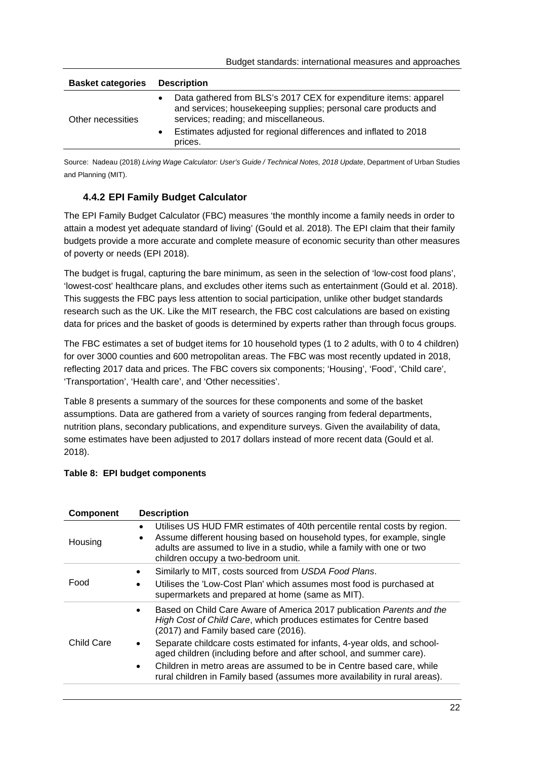| <b>Basket categories</b> | <b>Description</b>                                                                                                                                                           |  |  |
|--------------------------|------------------------------------------------------------------------------------------------------------------------------------------------------------------------------|--|--|
| Other necessities        | Data gathered from BLS's 2017 CEX for expenditure items: apparel<br>and services; housekeeping supplies; personal care products and<br>services; reading; and miscellaneous. |  |  |
|                          | Estimates adjusted for regional differences and inflated to 2018<br>prices.                                                                                                  |  |  |

Source: Nadeau (2018) Living Wage Calculator: User's Guide / Technical Notes, 2018 Update, Department of Urban Studies and Planning (MIT).

### **4.4.2 EPI Family Budget Calculator**

The EPI Family Budget Calculator (FBC) measures 'the monthly income a family needs in order to attain a modest yet adequate standard of living' (Gould et al. 2018). The EPI claim that their family budgets provide a more accurate and complete measure of economic security than other measures of poverty or needs (EPI 2018).

The budget is frugal, capturing the bare minimum, as seen in the selection of 'low-cost food plans', 'lowest-cost' healthcare plans, and excludes other items such as entertainment (Gould et al. 2018). This suggests the FBC pays less attention to social participation, unlike other budget standards research such as the UK. Like the MIT research, the FBC cost calculations are based on existing data for prices and the basket of goods is determined by experts rather than through focus groups.

The FBC estimates a set of budget items for 10 household types (1 to 2 adults, with 0 to 4 children) for over 3000 counties and 600 metropolitan areas. The FBC was most recently updated in 2018, reflecting 2017 data and prices. The FBC covers six components; 'Housing', 'Food', 'Child care', 'Transportation', 'Health care', and 'Other necessities'.

Table 8 presents a summary of the sources for these components and some of the basket assumptions. Data are gathered from a variety of sources ranging from federal departments, nutrition plans, secondary publications, and expenditure surveys. Given the availability of data, some estimates have been adjusted to 2017 dollars instead of more recent data (Gould et al. 2018).

#### **Table 8: EPI budget components**

| <b>Component</b>  | <b>Description</b>                                                                                                                                                                                                                                                                                     |
|-------------------|--------------------------------------------------------------------------------------------------------------------------------------------------------------------------------------------------------------------------------------------------------------------------------------------------------|
| Housing           | Utilises US HUD FMR estimates of 40th percentile rental costs by region.<br>$\bullet$<br>Assume different housing based on household types, for example, single<br>$\bullet$<br>adults are assumed to live in a studio, while a family with one or two<br>children occupy a two-bedroom unit.          |
| Food              | Similarly to MIT, costs sourced from USDA Food Plans.<br>Utilises the 'Low-Cost Plan' which assumes most food is purchased at<br>supermarkets and prepared at home (same as MIT).                                                                                                                      |
| <b>Child Care</b> | Based on Child Care Aware of America 2017 publication Parents and the<br>High Cost of Child Care, which produces estimates for Centre based<br>(2017) and Family based care (2016).                                                                                                                    |
|                   | Separate childcare costs estimated for infants, 4-year olds, and school-<br>aged children (including before and after school, and summer care).<br>Children in metro areas are assumed to be in Centre based care, while<br>rural children in Family based (assumes more availability in rural areas). |
|                   |                                                                                                                                                                                                                                                                                                        |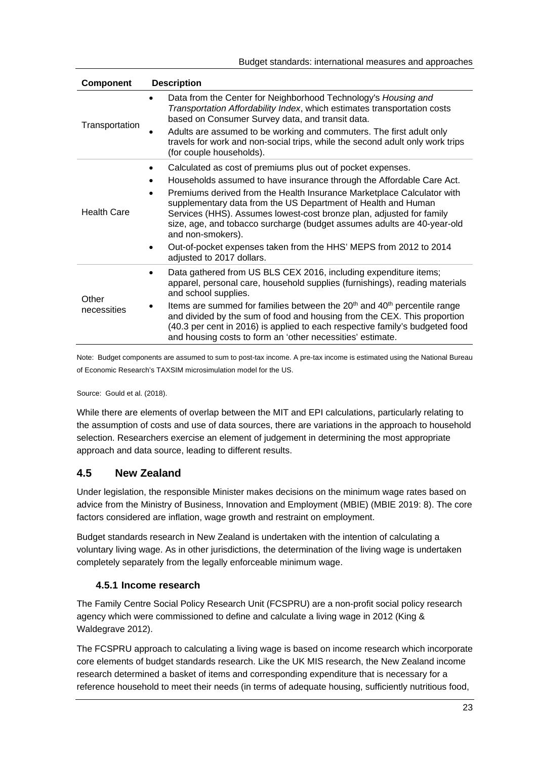| <b>Component</b>     | <b>Description</b>                                                                                                                                                                                                                                                                                                                                                                                                                                                                                                                                                          |
|----------------------|-----------------------------------------------------------------------------------------------------------------------------------------------------------------------------------------------------------------------------------------------------------------------------------------------------------------------------------------------------------------------------------------------------------------------------------------------------------------------------------------------------------------------------------------------------------------------------|
| Transportation       | Data from the Center for Neighborhood Technology's Housing and<br>$\bullet$<br>Transportation Affordability Index, which estimates transportation costs<br>based on Consumer Survey data, and transit data.<br>Adults are assumed to be working and commuters. The first adult only<br>travels for work and non-social trips, while the second adult only work trips<br>(for couple households).                                                                                                                                                                            |
| Health Care          | Calculated as cost of premiums plus out of pocket expenses.<br>٠<br>Households assumed to have insurance through the Affordable Care Act.<br>Premiums derived from the Health Insurance Marketplace Calculator with<br>$\bullet$<br>supplementary data from the US Department of Health and Human<br>Services (HHS). Assumes lowest-cost bronze plan, adjusted for family<br>size, age, and tobacco surcharge (budget assumes adults are 40-year-old<br>and non-smokers).<br>Out-of-pocket expenses taken from the HHS' MEPS from 2012 to 2014<br>adjusted to 2017 dollars. |
| Other<br>necessities | Data gathered from US BLS CEX 2016, including expenditure items;<br>$\bullet$<br>apparel, personal care, household supplies (furnishings), reading materials<br>and school supplies.<br>Items are summed for families between the 20 <sup>th</sup> and 40 <sup>th</sup> percentile range<br>and divided by the sum of food and housing from the CEX. This proportion<br>(40.3 per cent in 2016) is applied to each respective family's budgeted food<br>and housing costs to form an 'other necessities' estimate.                                                          |

Note: Budget components are assumed to sum to post-tax income. A pre-tax income is estimated using the National Bureau of Economic Research's TAXSIM microsimulation model for the US.

Source: Gould et al. (2018).

While there are elements of overlap between the MIT and EPI calculations, particularly relating to the assumption of costs and use of data sources, there are variations in the approach to household selection. Researchers exercise an element of judgement in determining the most appropriate approach and data source, leading to different results.

# **4.5 New Zealand**

Under legislation, the responsible Minister makes decisions on the minimum wage rates based on advice from the Ministry of Business, Innovation and Employment (MBIE) (MBIE 2019: 8). The core factors considered are inflation, wage growth and restraint on employment.

Budget standards research in New Zealand is undertaken with the intention of calculating a voluntary living wage. As in other jurisdictions, the determination of the living wage is undertaken completely separately from the legally enforceable minimum wage.

### **4.5.1 Income research**

The Family Centre Social Policy Research Unit (FCSPRU) are a non-profit social policy research agency which were commissioned to define and calculate a living wage in 2012 (King & Waldegrave 2012).

The FCSPRU approach to calculating a living wage is based on income research which incorporate core elements of budget standards research. Like the UK MIS research, the New Zealand income research determined a basket of items and corresponding expenditure that is necessary for a reference household to meet their needs (in terms of adequate housing, sufficiently nutritious food,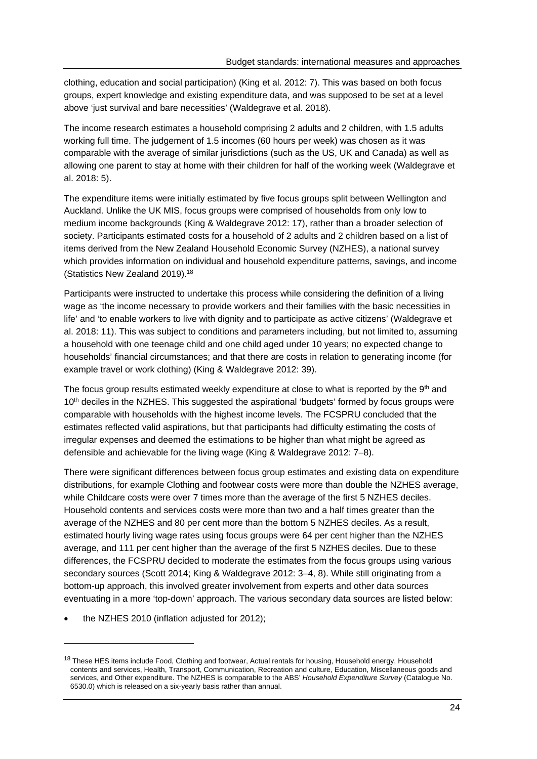clothing, education and social participation) (King et al. 2012: 7). This was based on both focus groups, expert knowledge and existing expenditure data, and was supposed to be set at a level above 'just survival and bare necessities' (Waldegrave et al. 2018).

The income research estimates a household comprising 2 adults and 2 children, with 1.5 adults working full time. The judgement of 1.5 incomes (60 hours per week) was chosen as it was comparable with the average of similar jurisdictions (such as the US, UK and Canada) as well as allowing one parent to stay at home with their children for half of the working week (Waldegrave et al. 2018: 5).

The expenditure items were initially estimated by five focus groups split between Wellington and Auckland. Unlike the UK MIS, focus groups were comprised of households from only low to medium income backgrounds (King & Waldegrave 2012: 17), rather than a broader selection of society. Participants estimated costs for a household of 2 adults and 2 children based on a list of items derived from the New Zealand Household Economic Survey (NZHES), a national survey which provides information on individual and household expenditure patterns, savings, and income (Statistics New Zealand 2019).18

Participants were instructed to undertake this process while considering the definition of a living wage as 'the income necessary to provide workers and their families with the basic necessities in life' and 'to enable workers to live with dignity and to participate as active citizens' (Waldegrave et al. 2018: 11). This was subject to conditions and parameters including, but not limited to, assuming a household with one teenage child and one child aged under 10 years; no expected change to households' financial circumstances; and that there are costs in relation to generating income (for example travel or work clothing) (King & Waldegrave 2012: 39).

The focus group results estimated weekly expenditure at close to what is reported by the  $9<sup>th</sup>$  and 10<sup>th</sup> deciles in the NZHES. This suggested the aspirational 'budgets' formed by focus groups were comparable with households with the highest income levels. The FCSPRU concluded that the estimates reflected valid aspirations, but that participants had difficulty estimating the costs of irregular expenses and deemed the estimations to be higher than what might be agreed as defensible and achievable for the living wage (King & Waldegrave 2012: 7–8).

There were significant differences between focus group estimates and existing data on expenditure distributions, for example Clothing and footwear costs were more than double the NZHES average, while Childcare costs were over 7 times more than the average of the first 5 NZHES deciles. Household contents and services costs were more than two and a half times greater than the average of the NZHES and 80 per cent more than the bottom 5 NZHES deciles. As a result, estimated hourly living wage rates using focus groups were 64 per cent higher than the NZHES average, and 111 per cent higher than the average of the first 5 NZHES deciles. Due to these differences, the FCSPRU decided to moderate the estimates from the focus groups using various secondary sources (Scott 2014; King & Waldegrave 2012: 3–4, 8). While still originating from a bottom-up approach, this involved greater involvement from experts and other data sources eventuating in a more 'top-down' approach. The various secondary data sources are listed below:

the NZHES 2010 (inflation adjusted for 2012);

<sup>&</sup>lt;sup>18</sup> These HES items include Food, Clothing and footwear, Actual rentals for housing, Household energy, Household contents and services, Health, Transport, Communication, Recreation and culture, Education, Miscellaneous goods and services, and Other expenditure. The NZHES is comparable to the ABS' *Household Expenditure Survey* (Catalogue No. 6530.0) which is released on a six-yearly basis rather than annual.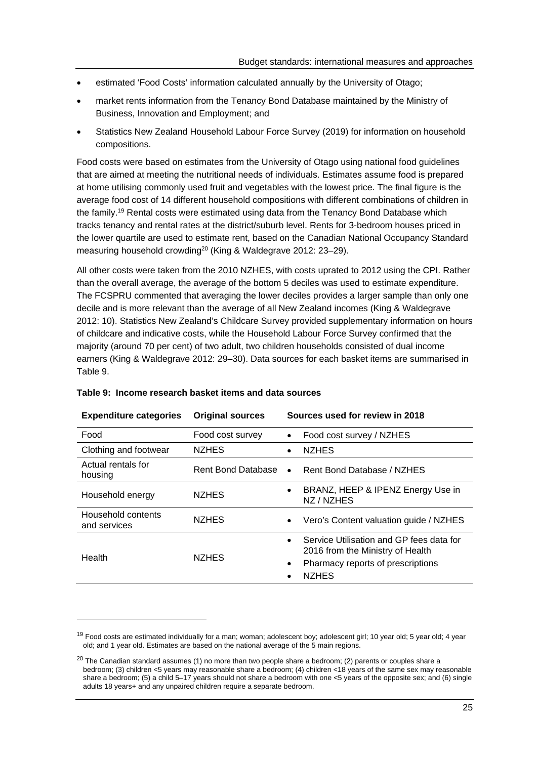- estimated 'Food Costs' information calculated annually by the University of Otago;
- market rents information from the Tenancy Bond Database maintained by the Ministry of Business, Innovation and Employment; and
- Statistics New Zealand Household Labour Force Survey (2019) for information on household compositions.

Food costs were based on estimates from the University of Otago using national food guidelines that are aimed at meeting the nutritional needs of individuals. Estimates assume food is prepared at home utilising commonly used fruit and vegetables with the lowest price. The final figure is the average food cost of 14 different household compositions with different combinations of children in the family.<sup>19</sup> Rental costs were estimated using data from the Tenancy Bond Database which tracks tenancy and rental rates at the district/suburb level. Rents for 3-bedroom houses priced in the lower quartile are used to estimate rent, based on the Canadian National Occupancy Standard measuring household crowding<sup>20</sup> (King & Waldegrave 2012: 23–29).

All other costs were taken from the 2010 NZHES, with costs uprated to 2012 using the CPI. Rather than the overall average, the average of the bottom 5 deciles was used to estimate expenditure. The FCSPRU commented that averaging the lower deciles provides a larger sample than only one decile and is more relevant than the average of all New Zealand incomes (King & Waldegrave 2012: 10). Statistics New Zealand's Childcare Survey provided supplementary information on hours of childcare and indicative costs, while the Household Labour Force Survey confirmed that the majority (around 70 per cent) of two adult, two children households consisted of dual income earners (King & Waldegrave 2012: 29–30). Data sources for each basket items are summarised in Table 9.

| <b>Expenditure categories</b>      | <b>Original sources</b> | Sources used for review in 2018                                                                                                                |
|------------------------------------|-------------------------|------------------------------------------------------------------------------------------------------------------------------------------------|
| Food                               | Food cost survey        | Food cost survey / NZHES                                                                                                                       |
| Clothing and footwear              | <b>NZHES</b>            | <b>NZHES</b><br>$\bullet$                                                                                                                      |
| Actual rentals for<br>housing      | Rent Bond Database      | Rent Bond Database / NZHES<br>$\bullet$                                                                                                        |
| Household energy                   | <b>NZHES</b>            | BRANZ, HEEP & IPENZ Energy Use in<br>$\bullet$<br>NZ / NZHES                                                                                   |
| Household contents<br>and services | <b>NZHES</b>            | Vero's Content valuation guide / NZHES                                                                                                         |
| Health                             | <b>NZHES</b>            | Service Utilisation and GP fees data for<br>2016 from the Ministry of Health<br>Pharmacy reports of prescriptions<br>$\bullet$<br><b>NZHES</b> |

#### **Table 9: Income research basket items and data sources**

<sup>&</sup>lt;sup>19</sup> Food costs are estimated individually for a man; woman; adolescent boy; adolescent girl; 10 year old; 5 year old; 4 year old; and 1 year old. Estimates are based on the national average of the 5 main regions.

 $20$  The Canadian standard assumes (1) no more than two people share a bedroom; (2) parents or couples share a bedroom; (3) children <5 years may reasonable share a bedroom; (4) children <18 years of the same sex may reasonable share a bedroom; (5) a child 5–17 years should not share a bedroom with one <5 years of the opposite sex; and (6) single adults 18 years+ and any unpaired children require a separate bedroom.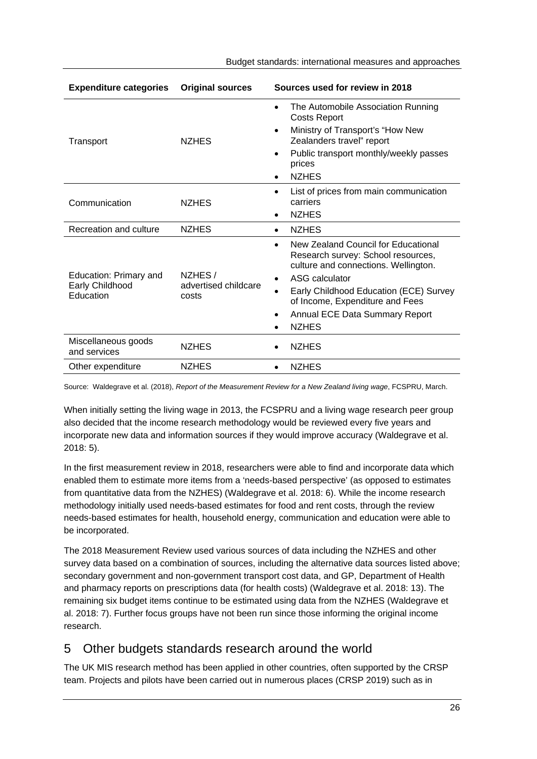| Budget standards: international measures and approaches |  |
|---------------------------------------------------------|--|
|---------------------------------------------------------|--|

| <b>Expenditure categories</b>                          | <b>Original sources</b>                 | Sources used for review in 2018                                                                                                                                                                                                                                                                           |
|--------------------------------------------------------|-----------------------------------------|-----------------------------------------------------------------------------------------------------------------------------------------------------------------------------------------------------------------------------------------------------------------------------------------------------------|
| Transport                                              | <b>NZHES</b>                            | The Automobile Association Running<br>$\bullet$<br><b>Costs Report</b><br>Ministry of Transport's "How New<br>Zealanders travel" report<br>Public transport monthly/weekly passes<br>$\bullet$<br>prices<br><b>NZHES</b><br>$\bullet$                                                                     |
| Communication                                          | <b>NZHES</b>                            | List of prices from main communication<br>$\bullet$<br>carriers<br><b>NZHES</b><br>٠                                                                                                                                                                                                                      |
| Recreation and culture                                 | <b>NZHES</b>                            | <b>NZHES</b><br>$\bullet$                                                                                                                                                                                                                                                                                 |
| Education: Primary and<br>Early Childhood<br>Education | NZHES/<br>advertised childcare<br>costs | New Zealand Council for Educational<br>$\bullet$<br>Research survey: School resources,<br>culture and connections. Wellington.<br>ASG calculator<br>$\bullet$<br>Early Childhood Education (ECE) Survey<br>of Income, Expenditure and Fees<br>Annual ECE Data Summary Report<br>$\bullet$<br><b>NZHES</b> |
| Miscellaneous goods<br>and services                    | <b>NZHES</b>                            | <b>NZHES</b>                                                                                                                                                                                                                                                                                              |
| Other expenditure                                      | <b>NZHES</b>                            | <b>NZHES</b><br>$\bullet$                                                                                                                                                                                                                                                                                 |

Source: Waldegrave et al. (2018), *Report of the Measurement Review for a New Zealand living wage*, FCSPRU, March.

When initially setting the living wage in 2013, the FCSPRU and a living wage research peer group also decided that the income research methodology would be reviewed every five years and incorporate new data and information sources if they would improve accuracy (Waldegrave et al. 2018: 5).

In the first measurement review in 2018, researchers were able to find and incorporate data which enabled them to estimate more items from a 'needs-based perspective' (as opposed to estimates from quantitative data from the NZHES) (Waldegrave et al. 2018: 6). While the income research methodology initially used needs-based estimates for food and rent costs, through the review needs-based estimates for health, household energy, communication and education were able to be incorporated.

The 2018 Measurement Review used various sources of data including the NZHES and other survey data based on a combination of sources, including the alternative data sources listed above; secondary government and non-government transport cost data, and GP, Department of Health and pharmacy reports on prescriptions data (for health costs) (Waldegrave et al. 2018: 13). The remaining six budget items continue to be estimated using data from the NZHES (Waldegrave et al. 2018: 7). Further focus groups have not been run since those informing the original income research.

# 5 Other budgets standards research around the world

The UK MIS research method has been applied in other countries, often supported by the CRSP team. Projects and pilots have been carried out in numerous places (CRSP 2019) such as in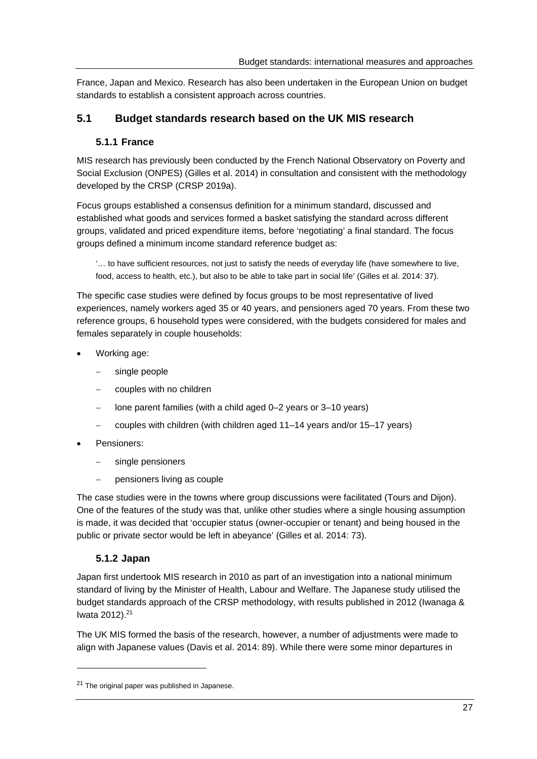France, Japan and Mexico. Research has also been undertaken in the European Union on budget standards to establish a consistent approach across countries.

# **5.1 Budget standards research based on the UK MIS research**

### **5.1.1 France**

MIS research has previously been conducted by the French National Observatory on Poverty and Social Exclusion (ONPES) (Gilles et al. 2014) in consultation and consistent with the methodology developed by the CRSP (CRSP 2019a).

Focus groups established a consensus definition for a minimum standard, discussed and established what goods and services formed a basket satisfying the standard across different groups, validated and priced expenditure items, before 'negotiating' a final standard. The focus groups defined a minimum income standard reference budget as:

'… to have sufficient resources, not just to satisfy the needs of everyday life (have somewhere to live, food, access to health, etc.), but also to be able to take part in social life' (Gilles et al. 2014: 37).

The specific case studies were defined by focus groups to be most representative of lived experiences, namely workers aged 35 or 40 years, and pensioners aged 70 years. From these two reference groups, 6 household types were considered, with the budgets considered for males and females separately in couple households:

- Working age:
	- single people
	- couples with no children
	- lone parent families (with a child aged 0–2 years or 3–10 years)
	- couples with children (with children aged 11–14 years and/or 15–17 years)
- Pensioners:
	- single pensioners
	- pensioners living as couple

The case studies were in the towns where group discussions were facilitated (Tours and Dijon). One of the features of the study was that, unlike other studies where a single housing assumption is made, it was decided that 'occupier status (owner-occupier or tenant) and being housed in the public or private sector would be left in abeyance' (Gilles et al. 2014: 73).

### **5.1.2 Japan**

Japan first undertook MIS research in 2010 as part of an investigation into a national minimum standard of living by the Minister of Health, Labour and Welfare. The Japanese study utilised the budget standards approach of the CRSP methodology, with results published in 2012 (Iwanaga & Iwata 2012).21

The UK MIS formed the basis of the research, however, a number of adjustments were made to align with Japanese values (Davis et al. 2014: 89). While there were some minor departures in

<sup>&</sup>lt;sup>21</sup> The original paper was published in Japanese.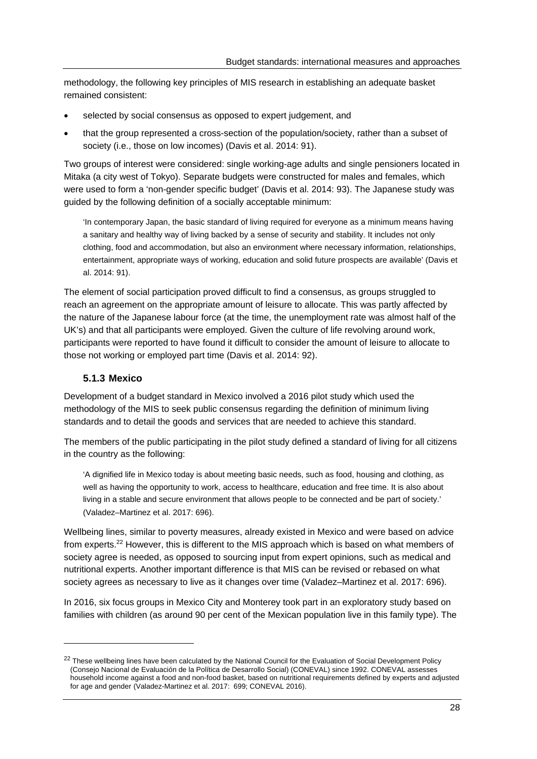methodology, the following key principles of MIS research in establishing an adequate basket remained consistent:

- selected by social consensus as opposed to expert judgement, and
- that the group represented a cross-section of the population/society, rather than a subset of society (i.e., those on low incomes) (Davis et al. 2014: 91).

Two groups of interest were considered: single working-age adults and single pensioners located in Mitaka (a city west of Tokyo). Separate budgets were constructed for males and females, which were used to form a 'non-gender specific budget' (Davis et al. 2014: 93). The Japanese study was guided by the following definition of a socially acceptable minimum:

'In contemporary Japan, the basic standard of living required for everyone as a minimum means having a sanitary and healthy way of living backed by a sense of security and stability. It includes not only clothing, food and accommodation, but also an environment where necessary information, relationships, entertainment, appropriate ways of working, education and solid future prospects are available' (Davis et al. 2014: 91).

The element of social participation proved difficult to find a consensus, as groups struggled to reach an agreement on the appropriate amount of leisure to allocate. This was partly affected by the nature of the Japanese labour force (at the time, the unemployment rate was almost half of the UK's) and that all participants were employed. Given the culture of life revolving around work, participants were reported to have found it difficult to consider the amount of leisure to allocate to those not working or employed part time (Davis et al. 2014: 92).

#### **5.1.3 Mexico**

Development of a budget standard in Mexico involved a 2016 pilot study which used the methodology of the MIS to seek public consensus regarding the definition of minimum living standards and to detail the goods and services that are needed to achieve this standard.

The members of the public participating in the pilot study defined a standard of living for all citizens in the country as the following:

'A dignified life in Mexico today is about meeting basic needs, such as food, housing and clothing, as well as having the opportunity to work, access to healthcare, education and free time. It is also about living in a stable and secure environment that allows people to be connected and be part of society.' (Valadez–Martinez et al. 2017: 696).

Wellbeing lines, similar to poverty measures, already existed in Mexico and were based on advice from experts.22 However, this is different to the MIS approach which is based on what members of society agree is needed, as opposed to sourcing input from expert opinions, such as medical and nutritional experts. Another important difference is that MIS can be revised or rebased on what society agrees as necessary to live as it changes over time (Valadez–Martinez et al. 2017: 696).

In 2016, six focus groups in Mexico City and Monterey took part in an exploratory study based on families with children (as around 90 per cent of the Mexican population live in this family type). The

<sup>&</sup>lt;sup>22</sup> These wellbeing lines have been calculated by the National Council for the Evaluation of Social Development Policy (Consejo Nacional de Evaluación de la Política de Desarrollo Social) (CONEVAL) since 1992. CONEVAL assesses household income against a food and non-food basket, based on nutritional requirements defined by experts and adjusted for age and gender (Valadez-Martinez et al. 2017: 699; CONEVAL 2016).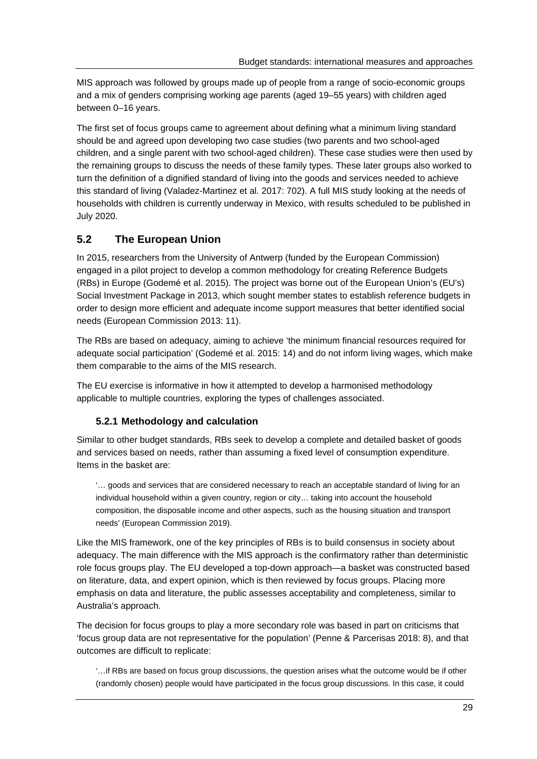MIS approach was followed by groups made up of people from a range of socio-economic groups and a mix of genders comprising working age parents (aged 19–55 years) with children aged between 0–16 years.

The first set of focus groups came to agreement about defining what a minimum living standard should be and agreed upon developing two case studies (two parents and two school-aged children, and a single parent with two school-aged children). These case studies were then used by the remaining groups to discuss the needs of these family types. These later groups also worked to turn the definition of a dignified standard of living into the goods and services needed to achieve this standard of living (Valadez-Martinez et al. 2017: 702). A full MIS study looking at the needs of households with children is currently underway in Mexico, with results scheduled to be published in July 2020.

# **5.2 The European Union**

In 2015, researchers from the University of Antwerp (funded by the European Commission) engaged in a pilot project to develop a common methodology for creating Reference Budgets (RBs) in Europe (Godemé et al. 2015). The project was borne out of the European Union's (EU's) Social Investment Package in 2013, which sought member states to establish reference budgets in order to design more efficient and adequate income support measures that better identified social needs (European Commission 2013: 11).

The RBs are based on adequacy, aiming to achieve 'the minimum financial resources required for adequate social participation' (Godemé et al. 2015: 14) and do not inform living wages, which make them comparable to the aims of the MIS research.

The EU exercise is informative in how it attempted to develop a harmonised methodology applicable to multiple countries, exploring the types of challenges associated.

# **5.2.1 Methodology and calculation**

Similar to other budget standards, RBs seek to develop a complete and detailed basket of goods and services based on needs, rather than assuming a fixed level of consumption expenditure. Items in the basket are:

'… goods and services that are considered necessary to reach an acceptable standard of living for an individual household within a given country, region or city… taking into account the household composition, the disposable income and other aspects, such as the housing situation and transport needs' (European Commission 2019).

Like the MIS framework, one of the key principles of RBs is to build consensus in society about adequacy. The main difference with the MIS approach is the confirmatory rather than deterministic role focus groups play. The EU developed a top-down approach—a basket was constructed based on literature, data, and expert opinion, which is then reviewed by focus groups. Placing more emphasis on data and literature, the public assesses acceptability and completeness, similar to Australia's approach.

The decision for focus groups to play a more secondary role was based in part on criticisms that 'focus group data are not representative for the population' (Penne & Parcerisas 2018: 8), and that outcomes are difficult to replicate:

'…if RBs are based on focus group discussions, the question arises what the outcome would be if other (randomly chosen) people would have participated in the focus group discussions. In this case, it could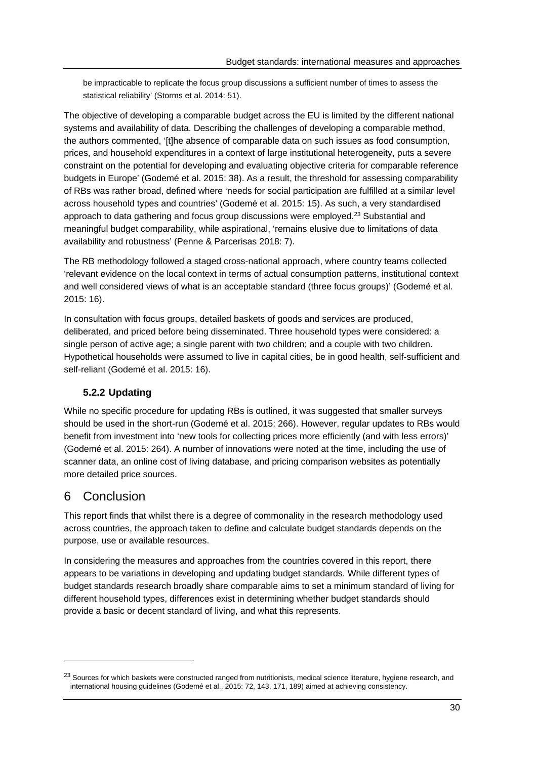be impracticable to replicate the focus group discussions a sufficient number of times to assess the statistical reliability' (Storms et al. 2014: 51).

The objective of developing a comparable budget across the EU is limited by the different national systems and availability of data. Describing the challenges of developing a comparable method, the authors commented, '[t]he absence of comparable data on such issues as food consumption, prices, and household expenditures in a context of large institutional heterogeneity, puts a severe constraint on the potential for developing and evaluating objective criteria for comparable reference budgets in Europe' (Godemé et al. 2015: 38). As a result, the threshold for assessing comparability of RBs was rather broad, defined where 'needs for social participation are fulfilled at a similar level across household types and countries' (Godemé et al. 2015: 15). As such, a very standardised approach to data gathering and focus group discussions were employed.23 Substantial and meaningful budget comparability, while aspirational, 'remains elusive due to limitations of data availability and robustness' (Penne & Parcerisas 2018: 7).

The RB methodology followed a staged cross-national approach, where country teams collected 'relevant evidence on the local context in terms of actual consumption patterns, institutional context and well considered views of what is an acceptable standard (three focus groups)' (Godemé et al. 2015: 16).

In consultation with focus groups, detailed baskets of goods and services are produced, deliberated, and priced before being disseminated. Three household types were considered: a single person of active age; a single parent with two children; and a couple with two children. Hypothetical households were assumed to live in capital cities, be in good health, self-sufficient and self-reliant (Godemé et al. 2015: 16).

# **5.2.2 Updating**

While no specific procedure for updating RBs is outlined, it was suggested that smaller surveys should be used in the short-run (Godemé et al. 2015: 266). However, regular updates to RBs would benefit from investment into 'new tools for collecting prices more efficiently (and with less errors)' (Godemé et al. 2015: 264). A number of innovations were noted at the time, including the use of scanner data, an online cost of living database, and pricing comparison websites as potentially more detailed price sources.

# 6 Conclusion

This report finds that whilst there is a degree of commonality in the research methodology used across countries, the approach taken to define and calculate budget standards depends on the purpose, use or available resources.

In considering the measures and approaches from the countries covered in this report, there appears to be variations in developing and updating budget standards. While different types of budget standards research broadly share comparable aims to set a minimum standard of living for different household types, differences exist in determining whether budget standards should provide a basic or decent standard of living, and what this represents.

<sup>&</sup>lt;sup>23</sup> Sources for which baskets were constructed ranged from nutritionists, medical science literature, hygiene research, and international housing guidelines (Godemé et al., 2015: 72, 143, 171, 189) aimed at achieving consistency.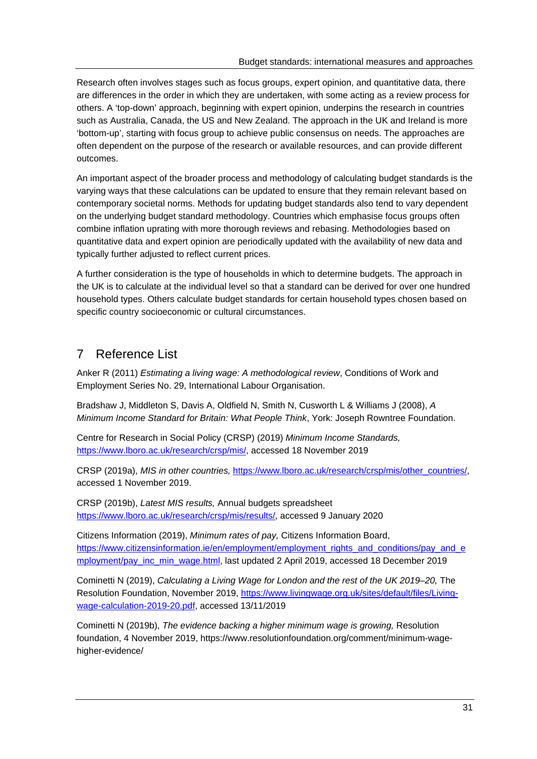Research often involves stages such as focus groups, expert opinion, and quantitative data, there are differences in the order in which they are undertaken, with some acting as a review process for others. A 'top-down' approach, beginning with expert opinion, underpins the research in countries such as Australia, Canada, the US and New Zealand. The approach in the UK and Ireland is more 'bottom-up', starting with focus group to achieve public consensus on needs. The approaches are often dependent on the purpose of the research or available resources, and can provide different outcomes.

An important aspect of the broader process and methodology of calculating budget standards is the varying ways that these calculations can be updated to ensure that they remain relevant based on contemporary societal norms. Methods for updating budget standards also tend to vary dependent on the underlying budget standard methodology. Countries which emphasise focus groups often combine inflation uprating with more thorough reviews and rebasing. Methodologies based on quantitative data and expert opinion are periodically updated with the availability of new data and typically further adjusted to reflect current prices.

A further consideration is the type of households in which to determine budgets. The approach in the UK is to calculate at the individual level so that a standard can be derived for over one hundred household types. Others calculate budget standards for certain household types chosen based on specific country socioeconomic or cultural circumstances.

# 7 Reference List

Anker R (2011) *Estimating a living wage: A methodological review*, Conditions of Work and Employment Series No. 29, International Labour Organisation.

Bradshaw J, Middleton S, Davis A, Oldfield N, Smith N, Cusworth L & Williams J (2008), *A Minimum Income Standard for Britain: What People Think*, York: Joseph Rowntree Foundation.

Centre for Research in Social Policy (CRSP) (2019) *Minimum Income Standards,*  https://www.lboro.ac.uk/research/crsp/mis/, accessed 18 November 2019

CRSP (2019a), *MIS in other countries,* https://www.lboro.ac.uk/research/crsp/mis/other\_countries/, accessed 1 November 2019.

CRSP (2019b), *Latest MIS results,* Annual budgets spreadsheet https://www.lboro.ac.uk/research/crsp/mis/results/, accessed 9 January 2020

Citizens Information (2019), *Minimum rates of pay,* Citizens Information Board, https://www.citizensinformation.ie/en/employment/employment\_rights\_and\_conditions/pay\_and\_e mployment/pay\_inc\_min\_wage.html, last updated 2 April 2019, accessed 18 December 2019

Cominetti N (2019), *Calculating a Living Wage for London and the rest of the UK 2019–20*, The Resolution Foundation, November 2019, https://www.livingwage.org.uk/sites/default/files/Livingwage-calculation-2019-20.pdf, accessed 13/11/2019

Cominetti N (2019b), *The evidence backing a higher minimum wage is growing,* Resolution foundation, 4 November 2019, https://www.resolutionfoundation.org/comment/minimum-wagehigher-evidence/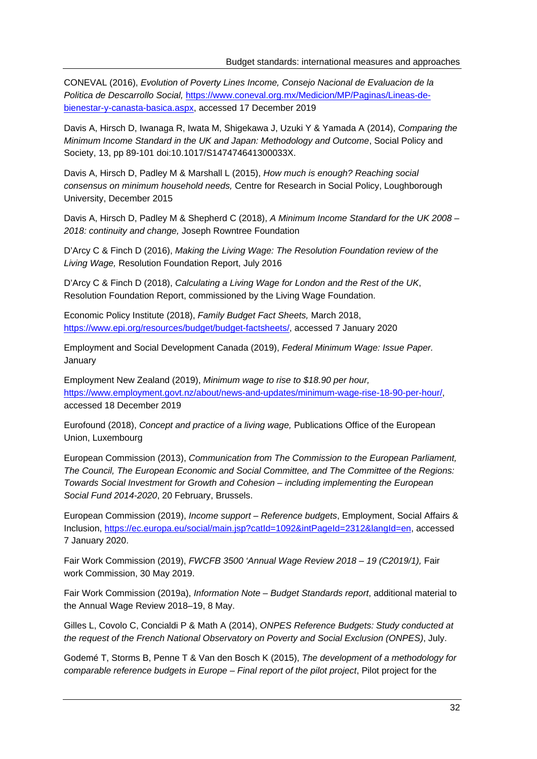CONEVAL (2016), *Evolution of Poverty Lines Income, Consejo Nacional de Evaluacion de la Politica de Descarrollo Social,* https://www.coneval.org.mx/Medicion/MP/Paginas/Lineas-debienestar-y-canasta-basica.aspx, accessed 17 December 2019

Davis A, Hirsch D, Iwanaga R, Iwata M, Shigekawa J, Uzuki Y & Yamada A (2014), *Comparing the Minimum Income Standard in the UK and Japan: Methodology and Outcome*, Social Policy and Society, 13, pp 89-101 doi:10.1017/S147474641300033X.

Davis A, Hirsch D, Padley M & Marshall L (2015), *How much is enough? Reaching social consensus on minimum household needs,* Centre for Research in Social Policy, Loughborough University, December 2015

Davis A, Hirsch D, Padley M & Shepherd C (2018), *A Minimum Income Standard for the UK 2008 – 2018: continuity and change,* Joseph Rowntree Foundation

D'Arcy C & Finch D (2016), *Making the Living Wage: The Resolution Foundation review of the Living Wage,* Resolution Foundation Report, July 2016

D'Arcy C & Finch D (2018), *Calculating a Living Wage for London and the Rest of the UK*, Resolution Foundation Report, commissioned by the Living Wage Foundation.

Economic Policy Institute (2018), *Family Budget Fact Sheets,* March 2018, https://www.epi.org/resources/budget/budget-factsheets/, accessed 7 January 2020

Employment and Social Development Canada (2019), *Federal Minimum Wage: Issue Paper.*  January

Employment New Zealand (2019), *Minimum wage to rise to \$18.90 per hour,*  https://www.employment.govt.nz/about/news-and-updates/minimum-wage-rise-18-90-per-hour/, accessed 18 December 2019

Eurofound (2018), *Concept and practice of a living wage,* Publications Office of the European Union, Luxembourg

European Commission (2013), *Communication from The Commission to the European Parliament, The Council, The European Economic and Social Committee, and The Committee of the Regions: Towards Social Investment for Growth and Cohesion – including implementing the European Social Fund 2014-2020*, 20 February, Brussels.

European Commission (2019), *Income support – Reference budgets*, Employment, Social Affairs & Inclusion, https://ec.europa.eu/social/main.jsp?catId=1092&intPageId=2312&langId=en, accessed 7 January 2020.

Fair Work Commission (2019), *FWCFB 3500 'Annual Wage Review 2018 – 19 (C2019/1),* Fair work Commission, 30 May 2019.

Fair Work Commission (2019a), *Information Note – Budget Standards report*, additional material to the Annual Wage Review 2018–19, 8 May.

Gilles L, Covolo C, Concialdi P & Math A (2014), *ONPES Reference Budgets: Study conducted at the request of the French National Observatory on Poverty and Social Exclusion (ONPES)*, July.

Godemé T, Storms B, Penne T & Van den Bosch K (2015), *The development of a methodology for comparable reference budgets in Europe – Final report of the pilot project*, Pilot project for the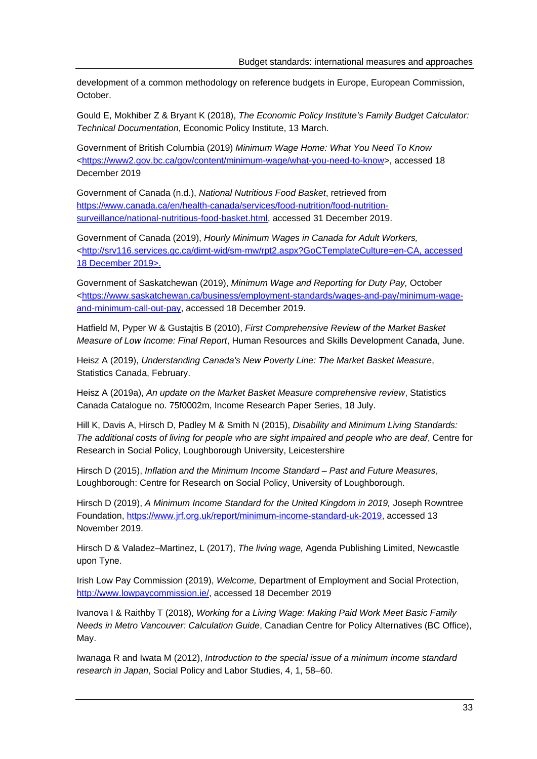development of a common methodology on reference budgets in Europe, European Commission, October.

Gould E, Mokhiber Z & Bryant K (2018), *The Economic Policy Institute's Family Budget Calculator: Technical Documentation*, Economic Policy Institute, 13 March.

Government of British Columbia (2019) *Minimum Wage Home: What You Need To Know* <https://www2.gov.bc.ca/gov/content/minimum-wage/what-you-need-to-know>, accessed 18 December 2019

Government of Canada (n.d.), *National Nutritious Food Basket*, retrieved from https://www.canada.ca/en/health-canada/services/food-nutrition/food-nutritionsurveillance/national-nutritious-food-basket.html, accessed 31 December 2019.

Government of Canada (2019), *Hourly Minimum Wages in Canada for Adult Workers,*  <http://srv116.services.gc.ca/dimt-wid/sm-mw/rpt2.aspx?GoCTemplateCulture=en-CA, accessed 18 December 2019>.

Government of Saskatchewan (2019), *Minimum Wage and Reporting for Duty Pay,* October <https://www.saskatchewan.ca/business/employment-standards/wages-and-pay/minimum-wageand-minimum-call-out-pay, accessed 18 December 2019.

Hatfield M, Pyper W & Gustajtis B (2010), *First Comprehensive Review of the Market Basket Measure of Low Income: Final Report*, Human Resources and Skills Development Canada, June.

Heisz A (2019), *Understanding Canada's New Poverty Line: The Market Basket Measure*, Statistics Canada, February.

Heisz A (2019a), *An update on the Market Basket Measure comprehensive review*, Statistics Canada Catalogue no. 75f0002m, Income Research Paper Series, 18 July.

Hill K, Davis A, Hirsch D, Padley M & Smith N (2015), *Disability and Minimum Living Standards: The additional costs of living for people who are sight impaired and people who are deaf*, Centre for Research in Social Policy, Loughborough University, Leicestershire

Hirsch D (2015), *Inflation and the Minimum Income Standard – Past and Future Measures*, Loughborough: Centre for Research on Social Policy, University of Loughborough.

Hirsch D (2019), *A Minimum Income Standard for the United Kingdom in 2019*, Joseph Rowntree Foundation, https://www.jrf.org.uk/report/minimum-income-standard-uk-2019, accessed 13 November 2019.

Hirsch D & Valadez–Martinez, L (2017), *The living wage,* Agenda Publishing Limited, Newcastle upon Tyne.

Irish Low Pay Commission (2019), *Welcome,* Department of Employment and Social Protection, http://www.lowpaycommission.ie/, accessed 18 December 2019

Ivanova I & Raithby T (2018), *Working for a Living Wage: Making Paid Work Meet Basic Family Needs in Metro Vancouver: Calculation Guide*, Canadian Centre for Policy Alternatives (BC Office), May.

Iwanaga R and Iwata M (2012), *Introduction to the special issue of a minimum income standard research in Japan*, Social Policy and Labor Studies, 4, 1, 58–60.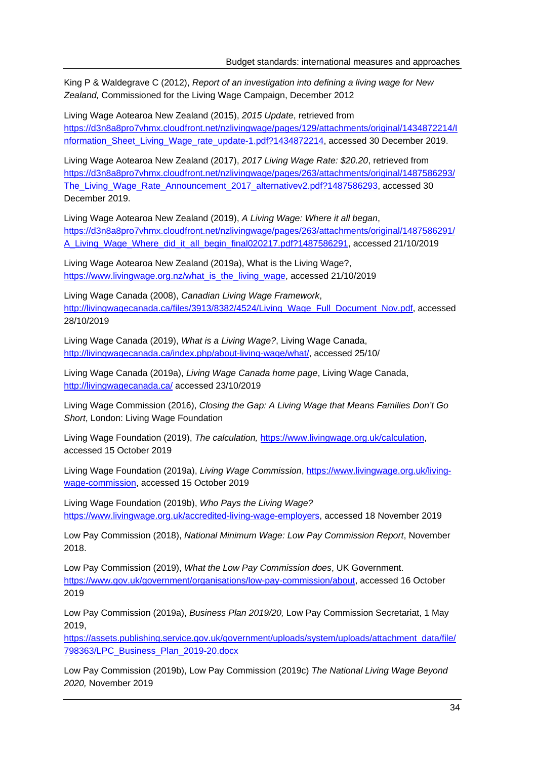King P & Waldegrave C (2012), *Report of an investigation into defining a living wage for New Zealand,* Commissioned for the Living Wage Campaign, December 2012

Living Wage Aotearoa New Zealand (2015), *2015 Update*, retrieved from https://d3n8a8pro7vhmx.cloudfront.net/nzlivingwage/pages/129/attachments/original/1434872214/I nformation\_Sheet\_Living\_Wage\_rate\_update-1.pdf?1434872214, accessed 30 December 2019.

Living Wage Aotearoa New Zealand (2017), *2017 Living Wage Rate: \$20.20*, retrieved from https://d3n8a8pro7vhmx.cloudfront.net/nzlivingwage/pages/263/attachments/original/1487586293/ The\_Living\_Wage\_Rate\_Announcement\_2017\_alternativev2.pdf?1487586293, accessed 30 December 2019.

Living Wage Aotearoa New Zealand (2019), *A Living Wage: Where it all began*, https://d3n8a8pro7vhmx.cloudfront.net/nzlivingwage/pages/263/attachments/original/1487586291/ A\_Living\_Wage\_Where\_did\_it\_all\_begin\_final020217.pdf?1487586291, accessed 21/10/2019

Living Wage Aotearoa New Zealand (2019a), What is the Living Wage?, https://www.livingwage.org.nz/what\_is\_the\_living\_wage, accessed 21/10/2019

Living Wage Canada (2008), *Canadian Living Wage Framework*, http://livingwagecanada.ca/files/3913/8382/4524/Living\_Wage\_Full\_Document\_Nov.pdf, accessed 28/10/2019

Living Wage Canada (2019), *What is a Living Wage?*, Living Wage Canada, http://livingwagecanada.ca/index.php/about-living-wage/what/, accessed 25/10/

Living Wage Canada (2019a), *Living Wage Canada home page*, Living Wage Canada, http://livingwagecanada.ca/ accessed 23/10/2019

Living Wage Commission (2016), *Closing the Gap: A Living Wage that Means Families Don't Go Short*, London: Living Wage Foundation

Living Wage Foundation (2019), *The calculation,* https://www.livingwage.org.uk/calculation, accessed 15 October 2019

Living Wage Foundation (2019a), *Living Wage Commission*, https://www.livingwage.org.uk/livingwage-commission, accessed 15 October 2019

Living Wage Foundation (2019b), *Who Pays the Living Wage?*  https://www.livingwage.org.uk/accredited-living-wage-employers, accessed 18 November 2019

Low Pay Commission (2018), *National Minimum Wage: Low Pay Commission Report*, November 2018.

Low Pay Commission (2019), *What the Low Pay Commission does*, UK Government. https://www.gov.uk/government/organisations/low-pay-commission/about, accessed 16 October 2019

Low Pay Commission (2019a), *Business Plan 2019/20,* Low Pay Commission Secretariat, 1 May 2019,

https://assets.publishing.service.gov.uk/government/uploads/system/uploads/attachment\_data/file/ 798363/LPC\_Business\_Plan\_2019-20.docx

Low Pay Commission (2019b), Low Pay Commission (2019c) *The National Living Wage Beyond 2020,* November 2019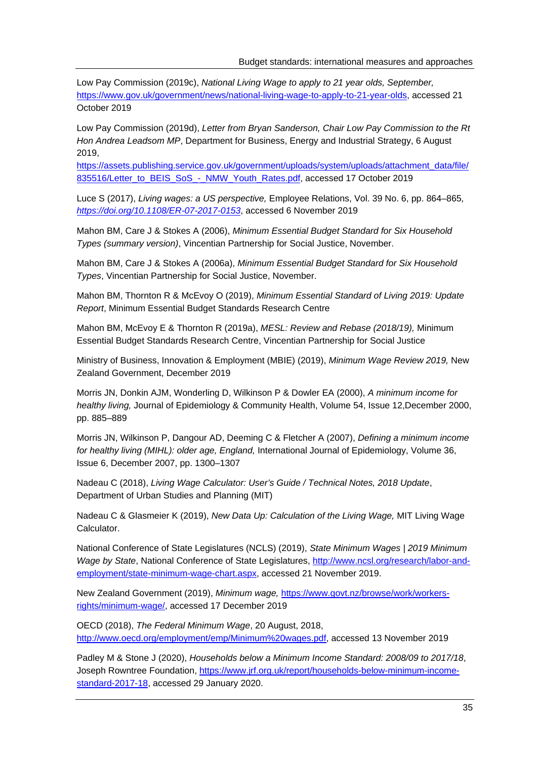Low Pay Commission (2019c), *National Living Wage to apply to 21 year olds, September,* https://www.gov.uk/government/news/national-living-wage-to-apply-to-21-year-olds, accessed 21 October 2019

Low Pay Commission (2019d), *Letter from Bryan Sanderson, Chair Low Pay Commission to the Rt Hon Andrea Leadsom MP*, Department for Business, Energy and Industrial Strategy, 6 August 2019,

https://assets.publishing.service.gov.uk/government/uploads/system/uploads/attachment\_data/file/ 835516/Letter\_to\_BEIS\_SoS\_-\_NMW\_Youth\_Rates.pdf, accessed 17 October 2019

Luce S (2017), *Living wages: a US perspective,* Employee Relations, Vol. 39 No. 6, pp. 864–865*, https://doi.org/10.1108/ER-07-2017-0153*, accessed 6 November 2019

Mahon BM, Care J & Stokes A (2006), *Minimum Essential Budget Standard for Six Household Types (summary version)*, Vincentian Partnership for Social Justice, November.

Mahon BM, Care J & Stokes A (2006a), *Minimum Essential Budget Standard for Six Household Types*, Vincentian Partnership for Social Justice, November.

Mahon BM, Thornton R & McEvoy O (2019), *Minimum Essential Standard of Living 2019: Update Report*, Minimum Essential Budget Standards Research Centre

Mahon BM, McEvoy E & Thornton R (2019a), *MESL: Review and Rebase (2018/19),* Minimum Essential Budget Standards Research Centre, Vincentian Partnership for Social Justice

Ministry of Business, Innovation & Employment (MBIE) (2019), *Minimum Wage Review 2019,* New Zealand Government, December 2019

Morris JN, Donkin AJM, Wonderling D, Wilkinson P & Dowler EA (2000), *A minimum income for healthy living,* Journal of Epidemiology & Community Health, Volume 54, Issue 12,December 2000, pp. 885–889

Morris JN, Wilkinson P, Dangour AD, Deeming C & Fletcher A (2007), *Defining a minimum income for healthy living (MIHL): older age, England,* International Journal of Epidemiology, Volume 36, Issue 6, December 2007, pp. 1300–1307

Nadeau C (2018), *Living Wage Calculator: User's Guide / Technical Notes, 2018 Update*, Department of Urban Studies and Planning (MIT)

Nadeau C & Glasmeier K (2019), *New Data Up: Calculation of the Living Wage,* MIT Living Wage Calculator.

National Conference of State Legislatures (NCLS) (2019), *State Minimum Wages | 2019 Minimum Wage by State*, National Conference of State Legislatures, http://www.ncsl.org/research/labor-andemployment/state-minimum-wage-chart.aspx, accessed 21 November 2019.

New Zealand Government (2019), *Minimum wage,* https://www.govt.nz/browse/work/workersrights/minimum-wage/, accessed 17 December 2019

OECD (2018), *The Federal Minimum Wage*, 20 August, 2018, http://www.oecd.org/employment/emp/Minimum%20wages.pdf, accessed 13 November 2019

Padley M & Stone J (2020), *Households below a Minimum Income Standard: 2008/09 to 2017/18*, Joseph Rowntree Foundation, https://www.jrf.org.uk/report/households-below-minimum-incomestandard-2017-18, accessed 29 January 2020.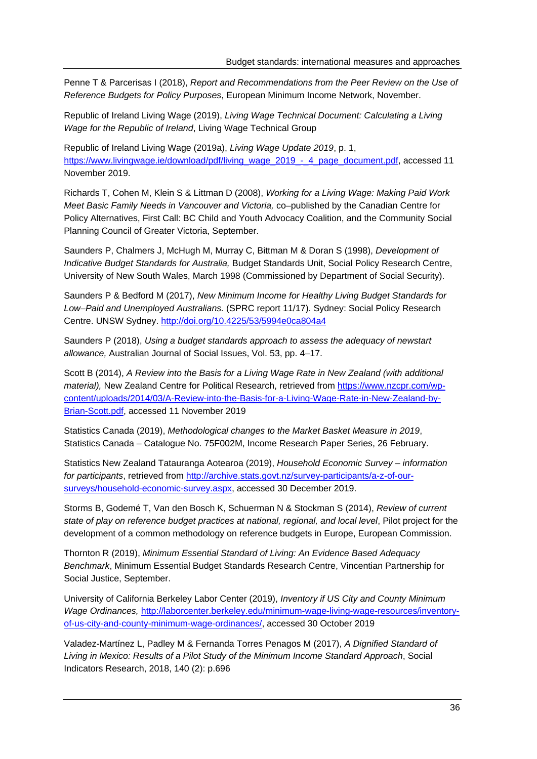Penne T & Parcerisas I (2018), *Report and Recommendations from the Peer Review on the Use of Reference Budgets for Policy Purposes*, European Minimum Income Network, November.

Republic of Ireland Living Wage (2019), *Living Wage Technical Document: Calculating a Living Wage for the Republic of Ireland*, Living Wage Technical Group

Republic of Ireland Living Wage (2019a), *Living Wage Update 2019*, p. 1, https://www.livingwage.ie/download/pdf/living\_wage\_2019\_-\_4\_page\_document.pdf, accessed 11 November 2019.

Richards T, Cohen M, Klein S & Littman D (2008), *Working for a Living Wage: Making Paid Work Meet Basic Family Needs in Vancouver and Victoria,* co–published by the Canadian Centre for Policy Alternatives, First Call: BC Child and Youth Advocacy Coalition, and the Community Social Planning Council of Greater Victoria, September.

Saunders P, Chalmers J, McHugh M, Murray C, Bittman M & Doran S (1998), *Development of Indicative Budget Standards for Australia,* Budget Standards Unit, Social Policy Research Centre, University of New South Wales, March 1998 (Commissioned by Department of Social Security).

Saunders P & Bedford M (2017), *New Minimum Income for Healthy Living Budget Standards for Low–Paid and Unemployed Australians.* (SPRC report 11/17). Sydney: Social Policy Research Centre. UNSW Sydney. http://doi.org/10.4225/53/5994e0ca804a4

Saunders P (2018), *Using a budget standards approach to assess the adequacy of newstart allowance,* Australian Journal of Social Issues, Vol. 53, pp. 4–17.

Scott B (2014), *A Review into the Basis for a Living Wage Rate in New Zealand (with additional material),* New Zealand Centre for Political Research, retrieved from https://www.nzcpr.com/wpcontent/uploads/2014/03/A-Review-into-the-Basis-for-a-Living-Wage-Rate-in-New-Zealand-by-Brian-Scott.pdf, accessed 11 November 2019

Statistics Canada (2019), *Methodological changes to the Market Basket Measure in 2019*, Statistics Canada – Catalogue No. 75F002M, Income Research Paper Series, 26 February.

Statistics New Zealand Tatauranga Aotearoa (2019), *Household Economic Survey – information for participants*, retrieved from http://archive.stats.govt.nz/survey-participants/a-z-of-oursurveys/household-economic-survey.aspx, accessed 30 December 2019.

Storms B, Godemé T, Van den Bosch K, Schuerman N & Stockman S (2014), *Review of current state of play on reference budget practices at national, regional, and local level*, Pilot project for the development of a common methodology on reference budgets in Europe, European Commission.

Thornton R (2019), *Minimum Essential Standard of Living: An Evidence Based Adequacy Benchmark*, Minimum Essential Budget Standards Research Centre, Vincentian Partnership for Social Justice, September.

University of California Berkeley Labor Center (2019), *Inventory if US City and County Minimum Wage Ordinances,* http://laborcenter.berkeley.edu/minimum-wage-living-wage-resources/inventoryof-us-city-and-county-minimum-wage-ordinances/, accessed 30 October 2019

Valadez-Martínez L, Padley M & Fernanda Torres Penagos M (2017), *A Dignified Standard of Living in Mexico: Results of a Pilot Study of the Minimum Income Standard Approach*, Social Indicators Research, 2018, 140 (2): p.696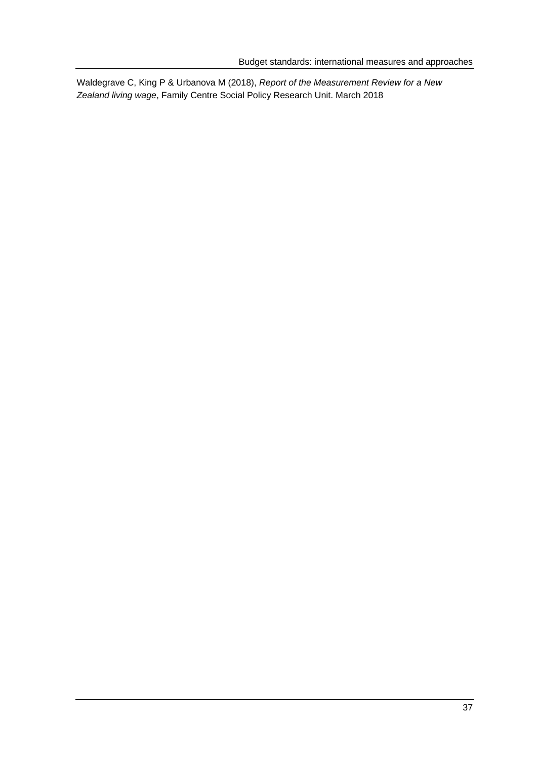Waldegrave C, King P & Urbanova M (2018), *Report of the Measurement Review for a New Zealand living wage*, Family Centre Social Policy Research Unit. March 2018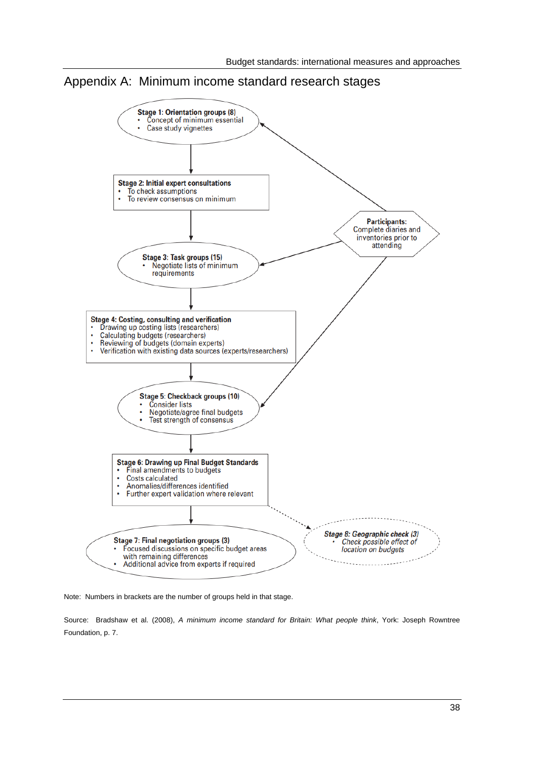



Note: Numbers in brackets are the number of groups held in that stage.

Source: Bradshaw et al. (2008), *A minimum income standard for Britain: What people think*, York: Joseph Rowntree Foundation, p. 7.